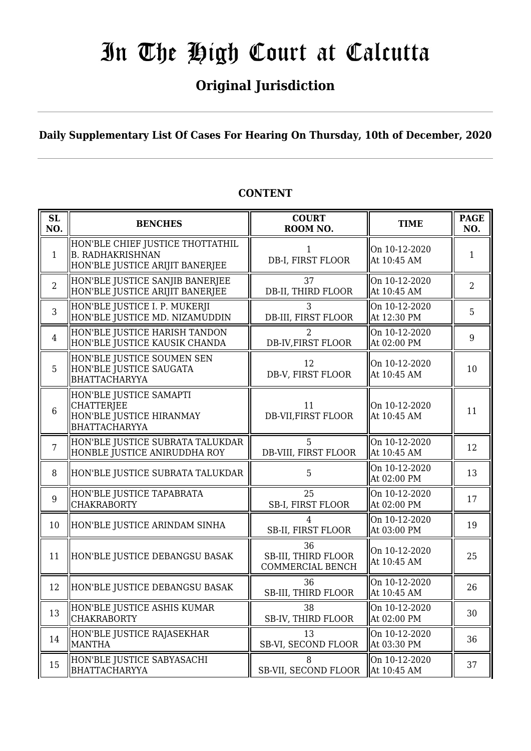## **Original Jurisdiction**

**Daily Supplementary List Of Cases For Hearing On Thursday, 10th of December, 2020**

#### **SL SL**<br> **NO. BENCHES COURT**<br> **ROOM** N **ROOM NO. TIME PAGE**<br>**ROOM NO. TIME ROOM NO.** 1 HON'BLE CHIEF JUSTICE THOTTATHIL B. RADHAKRISHNAN HON'BLE JUSTICE ARIJIT BANERJEE 1 DB-I, FIRST FLOOR On 10-12-2020  $\alpha$  at 10:45 AM 10:45 2 HON'BLE JUSTICE SANJIB BANERJEE HON'BLE JUSTICE ARIJIT BANERJEE 37 DB-II, THIRD FLOOR On 10-12-2020 At 10:45 AM  $\begin{array}{|c|c|} \hline 2 \\ 2 \end{array}$ 3 HON'BLE JUSTICE I. P. MUKERJI HON'BLE JUSTICE MD. NIZAMUDDIN 3 DB-III, FIRST FLOOR On 10-12-2020  $\left\| \begin{array}{cc} 5 \\ \text{At } 12:30 \text{ PM} \end{array} \right\|$ 4 HON'BLE JUSTICE HARISH TANDON HON'BLE JUSTICE KAUSIK CHANDA 2 DB-IV,FIRST FLOOR On 10-12-2020  $\left\| \begin{array}{cc} 0 & 1 & 0 & 1 & 2 & 2 & 0 & 2 & 0 \\ 0 & 0 & 0 & 0 & 0 & 9 & 9 \\ 0 & 0 & 0 & 0 & 9 & 9 & 9 \end{array} \right\|$ 5 HON'BLE JUSTICE SOUMEN SEN HON'BLE JUSTICE SAUGATA BHATTACHARYYA 12 DB-V, FIRST FLOOR On 10-12-2020 Of 10-12-2020<br>At 10:45 AM 10 6 HON'BLE JUSTICE SAMAPTI **CHATTERIEE** HON'BLE JUSTICE HIRANMAY BHATTACHARYYA 11 DB-VII,FIRST FLOOR On 10-12-2020  $\left[\begin{array}{cc} 0.110 - 12 - 2020 \\ 0.45 \end{array}\right]$  11 7 HON'BLE JUSTICE SUBRATA TALUKDAR HONBLE JUSTICE ANIRUDDHA ROY 5 DB-VIII, FIRST FLOOR On 10-12-2020 At 10:45 AM  $\begin{array}{|c|c|} \hline 12 \end{array}$ 8 HON'BLE JUSTICE SUBRATA TALUKDAR | 5 On 10-12-2020  $\begin{array}{|c|c|c|c|c|} \hline \text{At 02:00 PM} & & 13 \end{array}$ 9 HON'BLE JUSTICE TAPABRATA CHAKRABORTY 25 SB-I, FIRST FLOOR On 10-12-2020 OII 10-12-2020  $\parallel$  17<br>At 02:00 PM 10 HON'BLE JUSTICE ARINDAM SINHA  $\parallel$  on H FIDE SB-II, FIRST FLOOR On 10-12-2020  $\text{At } 03:00 \text{ PM}$  19 11 HON'BLE JUSTICE DEBANGSU BASAK 36 SB-III, THIRD FLOOR COMMERCIAL BENCH On 10-12-2020 At 10:45 AM  $\begin{array}{|c|c|} \hline 25 \end{array}$ 12 HON'BLE JUSTICE DEBANGSU BASAK 36 SB-III, THIRD FLOOR On 10-12-2020 At 10:45 AM  $\begin{array}{|l|} 26 \end{array}$  $\parallel$ 13 HON'BLE JUSTICE ASHIS KUMAR CHAKRABORTY 38 SB-IV, THIRD FLOOR On 10-12-2020  $\begin{array}{|c|c|c|c|c|} \hline \text{Out 10-12-2020} & & 30 \\ \text{At 02:00 PM} & & 30 \\ \hline \end{array}$  $14$  HON'BLE JUSTICE RAJASEKHAR MANTHA 13 SB-VI, SECOND FLOOR On 10-12-2020  $\left\| \begin{array}{c} 36 \\ \text{At } 03:30 \text{ PM} \end{array} \right\|$  36 15 HON'BLE JUSTICE SABYASACHI **BHATTACHARYYA** 8 SB-VII, SECOND FLOOR On 10-12-2020  $\text{At } 10:45 \text{ AM} \qquad \begin{array}{|c|c|} \hline 37 \end{array}$

## **CONTENT**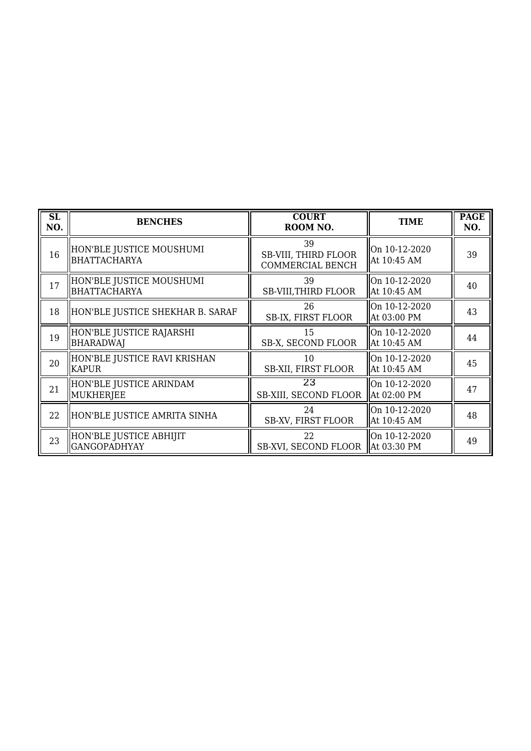| SL<br>NO. | <b>BENCHES</b>                                 | <b>COURT</b><br>ROOM NO.                              | <b>TIME</b>                  | <b>PAGE</b><br>NO. |
|-----------|------------------------------------------------|-------------------------------------------------------|------------------------------|--------------------|
| 16        | HON'BLE JUSTICE MOUSHUMI<br>BHATTACHARYA       | 39<br><b>SB-VIII, THIRD FLOOR</b><br>COMMERCIAL BENCH | On 10-12-2020<br>At 10:45 AM | 39                 |
| 17        | HON'BLE JUSTICE MOUSHUMI<br>BHATTACHARYA       | 39<br><b>SB-VIII, THIRD FLOOR</b>                     | On 10-12-2020<br>At 10:45 AM | 40                 |
| 18        | HON'BLE JUSTICE SHEKHAR B. SARAF               | 26<br>SB-IX, FIRST FLOOR                              | On 10-12-2020<br>At 03:00 PM | 43                 |
| 19        | HON'BLE JUSTICE RAJARSHI<br><b>BHARADWAJ</b>   | 15<br>SB-X, SECOND FLOOR                              | On 10-12-2020<br>At 10:45 AM | 44                 |
| 20        | HON'BLE JUSTICE RAVI KRISHAN<br><b>KAPUR</b>   | 10<br><b>SB-XII, FIRST FLOOR</b>                      | On 10-12-2020<br>At 10:45 AM | 45                 |
| 21        | HON'BLE JUSTICE ARINDAM<br>MUKHERJEE           | 23<br>SB-XIII, SECOND FLOOR                           | On 10-12-2020<br>At 02:00 PM | 47                 |
| 22        | HON'BLE JUSTICE AMRITA SINHA                   | 24<br><b>SB-XV, FIRST FLOOR</b>                       | On 10-12-2020<br>At 10:45 AM | 48                 |
| 23        | HON'BLE JUSTICE ABHIJIT<br><b>GANGOPADHYAY</b> | 22<br>SB-XVI, SECOND FLOOR                            | On 10-12-2020<br>At 03:30 PM | 49                 |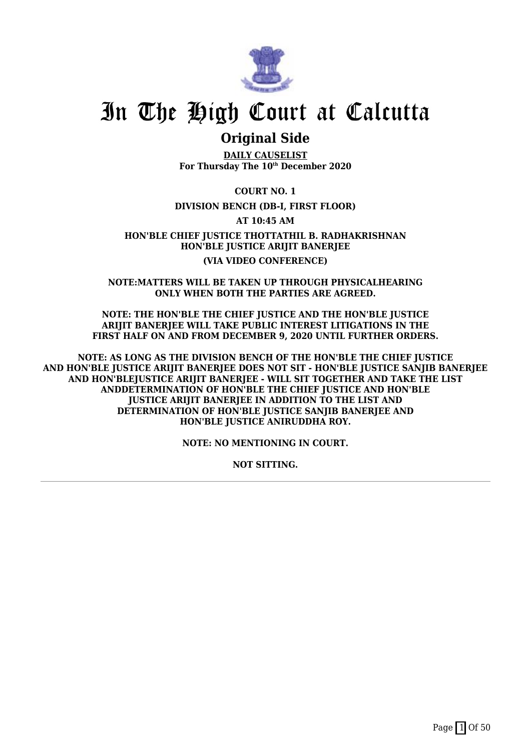

## **Original Side**

**DAILY CAUSELIST For Thursday The 10th December 2020**

**COURT NO. 1**

## **DIVISION BENCH (DB-I, FIRST FLOOR)**

**AT 10:45 AM**

**HON'BLE CHIEF JUSTICE THOTTATHIL B. RADHAKRISHNAN HON'BLE JUSTICE ARIJIT BANERJEE (VIA VIDEO CONFERENCE)**

**NOTE:MATTERS WILL BE TAKEN UP THROUGH PHYSICALHEARING ONLY WHEN BOTH THE PARTIES ARE AGREED.**

**NOTE: THE HON'BLE THE CHIEF JUSTICE AND THE HON'BLE JUSTICE ARIJIT BANERJEE WILL TAKE PUBLIC INTEREST LITIGATIONS IN THE FIRST HALF ON AND FROM DECEMBER 9, 2020 UNTIL FURTHER ORDERS.**

**NOTE: AS LONG AS THE DIVISION BENCH OF THE HON'BLE THE CHIEF JUSTICE AND HON'BLE JUSTICE ARIJIT BANERJEE DOES NOT SIT - HON'BLE JUSTICE SANJIB BANERJEE AND HON'BLEJUSTICE ARIJIT BANERJEE - WILL SIT TOGETHER AND TAKE THE LIST ANDDETERMINATION OF HON'BLE THE CHIEF JUSTICE AND HON'BLE JUSTICE ARIJIT BANERJEE IN ADDITION TO THE LIST AND DETERMINATION OF HON'BLE JUSTICE SANJIB BANERJEE AND HON'BLE JUSTICE ANIRUDDHA ROY.**

**NOTE: NO MENTIONING IN COURT.**

**NOT SITTING.**

Page  $\boxed{1}$  Of 50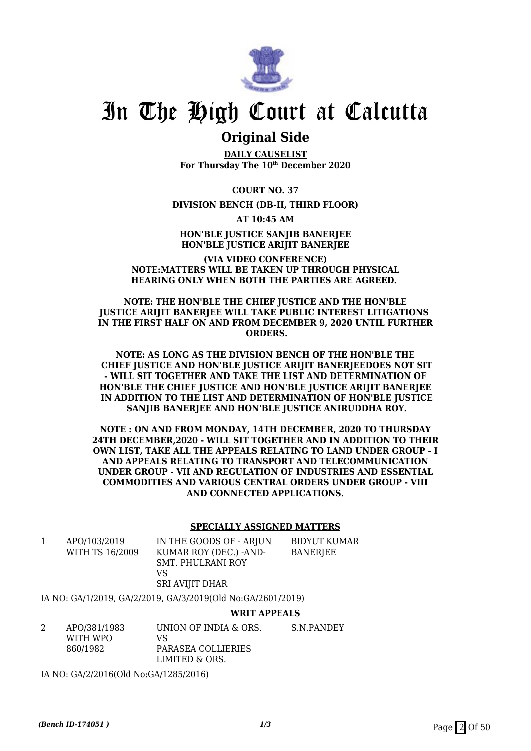

## **Original Side**

**DAILY CAUSELIST For Thursday The 10th December 2020**

**COURT NO. 37**

## **DIVISION BENCH (DB-II, THIRD FLOOR)**

**AT 10:45 AM**

**HON'BLE JUSTICE SANJIB BANERJEE HON'BLE JUSTICE ARIJIT BANERJEE**

### **(VIA VIDEO CONFERENCE) NOTE:MATTERS WILL BE TAKEN UP THROUGH PHYSICAL HEARING ONLY WHEN BOTH THE PARTIES ARE AGREED.**

 **NOTE: THE HON'BLE THE CHIEF JUSTICE AND THE HON'BLE JUSTICE ARIJIT BANERJEE WILL TAKE PUBLIC INTEREST LITIGATIONS IN THE FIRST HALF ON AND FROM DECEMBER 9, 2020 UNTIL FURTHER ORDERS.**

**NOTE: AS LONG AS THE DIVISION BENCH OF THE HON'BLE THE CHIEF JUSTICE AND HON'BLE JUSTICE ARIJIT BANERJEEDOES NOT SIT - WILL SIT TOGETHER AND TAKE THE LIST AND DETERMINATION OF HON'BLE THE CHIEF JUSTICE AND HON'BLE JUSTICE ARIJIT BANERJEE IN ADDITION TO THE LIST AND DETERMINATION OF HON'BLE JUSTICE SANJIB BANERJEE AND HON'BLE JUSTICE ANIRUDDHA ROY.**

**NOTE : ON AND FROM MONDAY, 14TH DECEMBER, 2020 TO THURSDAY 24TH DECEMBER,2020 - WILL SIT TOGETHER AND IN ADDITION TO THEIR OWN LIST, TAKE ALL THE APPEALS RELATING TO LAND UNDER GROUP - I AND APPEALS RELATING TO TRANSPORT AND TELECOMMUNICATION UNDER GROUP - VII AND REGULATION OF INDUSTRIES AND ESSENTIAL COMMODITIES AND VARIOUS CENTRAL ORDERS UNDER GROUP - VIII AND CONNECTED APPLICATIONS.**

### **SPECIALLY ASSIGNED MATTERS**

1 APO/103/2019 WITH TS 16/2009 IN THE GOODS OF - ARJUN KUMAR ROY (DEC.) -AND-SMT. PHULRANI ROY VS SRI AVIJIT DHAR

BIDYUT KUMAR BANERJEE

IA NO: GA/1/2019, GA/2/2019, GA/3/2019(Old No:GA/2601/2019)

**WRIT APPEALS**

2 APO/381/1983 WITH WPO 860/1982 UNION OF INDIA & ORS. VS PARASEA COLLIERIES LIMITED & ORS. S.N.PANDEY

IA NO: GA/2/2016(Old No:GA/1285/2016)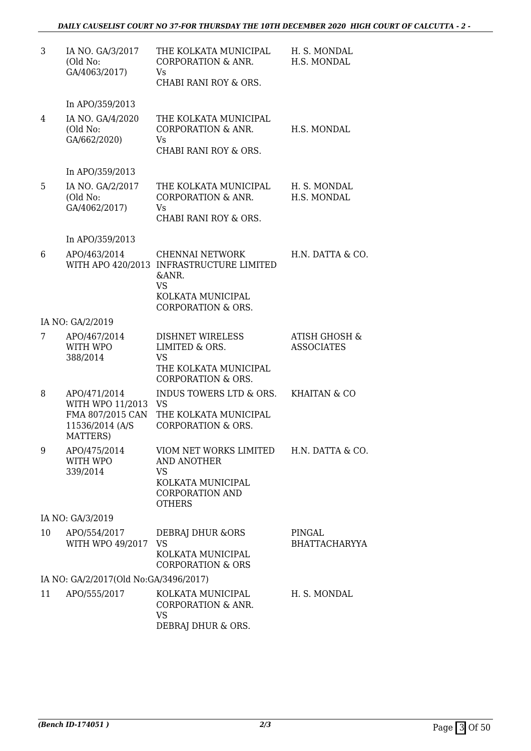| 3  | IA NO. GA/3/2017<br>(Old No:<br>GA/4063/2017)                                       | THE KOLKATA MUNICIPAL<br>CORPORATION & ANR.<br>Vs.<br>CHABI RANI ROY & ORS.                                                             | H. S. MONDAL<br>H.S. MONDAL        |
|----|-------------------------------------------------------------------------------------|-----------------------------------------------------------------------------------------------------------------------------------------|------------------------------------|
|    | In APO/359/2013                                                                     |                                                                                                                                         |                                    |
| 4  | IA NO. GA/4/2020<br>(Old No:<br>GA/662/2020)                                        | THE KOLKATA MUNICIPAL<br>CORPORATION & ANR.<br>Vs<br>CHABI RANI ROY & ORS.                                                              | H.S. MONDAL                        |
|    | In APO/359/2013                                                                     |                                                                                                                                         |                                    |
| 5  | IA NO. GA/2/2017<br>(Old No:<br>GA/4062/2017)                                       | THE KOLKATA MUNICIPAL<br><b>CORPORATION &amp; ANR.</b><br>Vs.<br>CHABI RANI ROY & ORS.                                                  | H. S. MONDAL<br>H.S. MONDAL        |
|    | In APO/359/2013                                                                     |                                                                                                                                         |                                    |
| 6  | APO/463/2014                                                                        | CHENNAI NETWORK<br>WITH APO 420/2013 INFRASTRUCTURE LIMITED<br>&ANR.<br><b>VS</b><br>KOLKATA MUNICIPAL<br><b>CORPORATION &amp; ORS.</b> | H.N. DATTA & CO.                   |
|    | IA NO: GA/2/2019                                                                    |                                                                                                                                         |                                    |
| 7  | APO/467/2014<br>WITH WPO<br>388/2014                                                | <b>DISHNET WIRELESS</b><br>LIMITED & ORS.<br><b>VS</b><br>THE KOLKATA MUNICIPAL<br><b>CORPORATION &amp; ORS.</b>                        | ATISH GHOSH &<br><b>ASSOCIATES</b> |
| 8  | APO/471/2014<br>WITH WPO 11/2013<br>FMA 807/2015 CAN<br>11536/2014 (A/S<br>MATTERS) | INDUS TOWERS LTD & ORS.<br>VS<br>THE KOLKATA MUNICIPAL<br><b>CORPORATION &amp; ORS.</b>                                                 | KHAITAN & CO                       |
| 9  | APO/475/2014<br>WITH WPO<br>339/2014                                                | VIOM NET WORKS LIMITED<br><b>AND ANOTHER</b><br>VS<br>KOLKATA MUNICIPAL<br><b>CORPORATION AND</b><br><b>OTHERS</b>                      | H.N. DATTA & CO.                   |
|    | IA NO: GA/3/2019                                                                    |                                                                                                                                         |                                    |
| 10 | APO/554/2017<br>WITH WPO 49/2017                                                    | DEBRAJ DHUR & ORS<br><b>VS</b><br>KOLKATA MUNICIPAL<br><b>CORPORATION &amp; ORS</b>                                                     | PINGAL<br><b>BHATTACHARYYA</b>     |
|    | IA NO: GA/2/2017(Old No:GA/3496/2017)                                               |                                                                                                                                         |                                    |
| 11 | APO/555/2017                                                                        | KOLKATA MUNICIPAL<br><b>CORPORATION &amp; ANR.</b><br><b>VS</b><br>DEBRAJ DHUR & ORS.                                                   | H. S. MONDAL                       |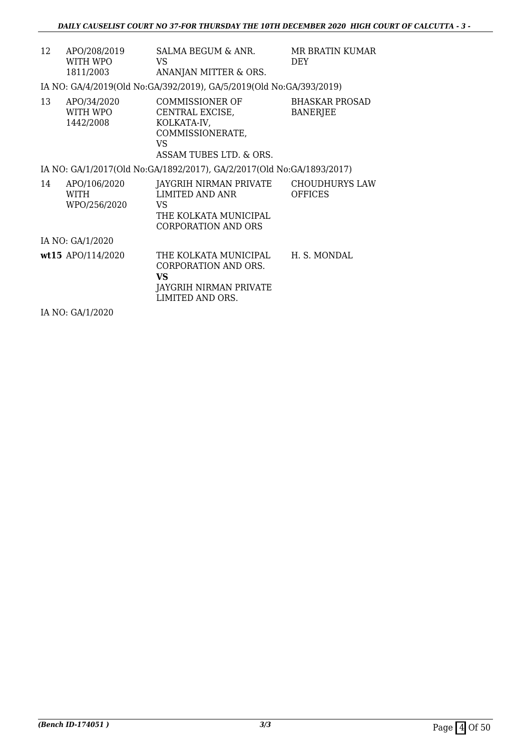| 12 | APO/208/2019<br>WITH WPO<br>1811/2003 | SALMA BEGUM & ANR.<br>VS.<br>ANANJAN MITTER & ORS.                                                       | <b>MR BRATIN KUMAR</b><br>DEY.           |
|----|---------------------------------------|----------------------------------------------------------------------------------------------------------|------------------------------------------|
|    |                                       | IA NO: GA/4/2019(Old No: GA/392/2019), GA/5/2019(Old No: GA/393/2019)                                    |                                          |
| 13 | APO/34/2020<br>WITH WPO<br>1442/2008  | COMMISSIONER OF<br>CENTRAL EXCISE,<br>KOLKATA-IV,<br>COMMISSIONERATE,<br>VS.<br>ASSAM TUBES LTD. & ORS.  | <b>BHASKAR PROSAD</b><br><b>BANERJEE</b> |
|    |                                       | IA NO: GA/1/2017(Old No:GA/1892/2017), GA/2/2017(Old No:GA/1893/2017)                                    |                                          |
| 14 | APO/106/2020<br>WITH<br>WPO/256/2020  | JAYGRIH NIRMAN PRIVATE<br>LIMITED AND ANR<br>VS.<br>THE KOLKATA MUNICIPAL<br><b>CORPORATION AND ORS</b>  | <b>CHOUDHURYS LAW</b><br><b>OFFICES</b>  |
|    | IA NO: GA/1/2020                      |                                                                                                          |                                          |
|    | wt15 APO/114/2020                     | THE KOLKATA MUNICIPAL<br>CORPORATION AND ORS.<br><b>VS</b><br>JAYGRIH NIRMAN PRIVATE<br>LIMITED AND ORS. | H. S. MONDAL                             |

IA NO: GA/1/2020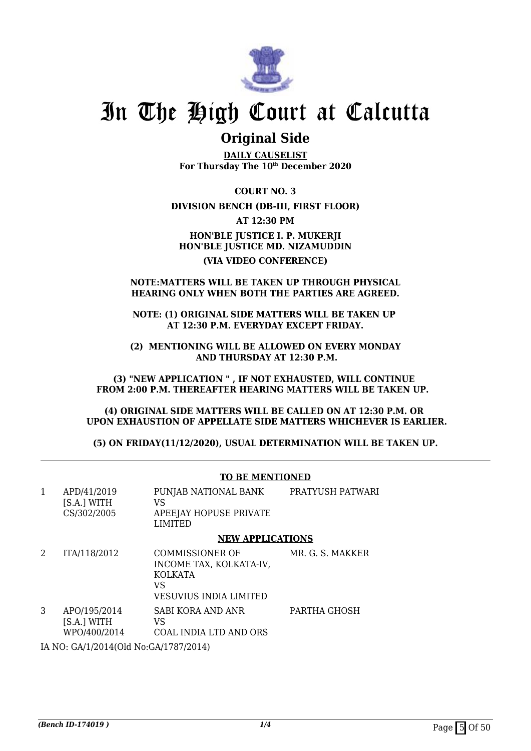

## **Original Side**

**DAILY CAUSELIST For Thursday The 10th December 2020**

**COURT NO. 3**

## **DIVISION BENCH (DB-III, FIRST FLOOR)**

**AT 12:30 PM**

**HON'BLE JUSTICE I. P. MUKERJI HON'BLE JUSTICE MD. NIZAMUDDIN (VIA VIDEO CONFERENCE)**

### **NOTE:MATTERS WILL BE TAKEN UP THROUGH PHYSICAL HEARING ONLY WHEN BOTH THE PARTIES ARE AGREED.**

**NOTE: (1) ORIGINAL SIDE MATTERS WILL BE TAKEN UP AT 12:30 P.M. EVERYDAY EXCEPT FRIDAY.**

**(2) MENTIONING WILL BE ALLOWED ON EVERY MONDAY AND THURSDAY AT 12:30 P.M.**

**(3) "NEW APPLICATION " , IF NOT EXHAUSTED, WILL CONTINUE FROM 2:00 P.M. THEREAFTER HEARING MATTERS WILL BE TAKEN UP.** 

**(4) ORIGINAL SIDE MATTERS WILL BE CALLED ON AT 12:30 P.M. OR UPON EXHAUSTION OF APPELLATE SIDE MATTERS WHICHEVER IS EARLIER.**

**(5) ON FRIDAY(11/12/2020), USUAL DETERMINATION WILL BE TAKEN UP.**

#### **TO BE MENTIONED** 1 APD/41/2019 [S.A.] WITH CS/302/2005 PUNJAB NATIONAL BANK VS APEEJAY HOPUSE PRIVATE LIMITED PRATYUSH PATWARI **NEW APPLICATIONS** 2 ITA/118/2012 COMMISSIONER OF INCOME TAX, KOLKATA-IV, KOLKATA VS VESUVIUS INDIA LIMITED MR. G. S. MAKKER 3 APO/195/2014 [S.A.] WITH WPO/400/2014 SABI KORA AND ANR VS COAL INDIA LTD AND ORS PARTHA GHOSH

IA NO: GA/1/2014(Old No:GA/1787/2014)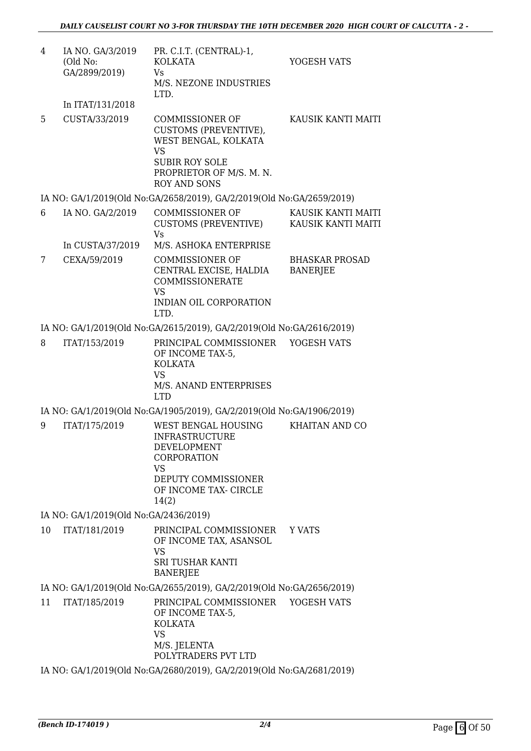| 4  | IA NO. GA/3/2019<br>(Old No:<br>GA/2899/2019) | PR. C.I.T. (CENTRAL)-1,<br><b>KOLKATA</b><br><b>Vs</b><br>M/S. NEZONE INDUSTRIES<br>LTD.                                                                         | YOGESH VATS                              |
|----|-----------------------------------------------|------------------------------------------------------------------------------------------------------------------------------------------------------------------|------------------------------------------|
|    | In ITAT/131/2018                              |                                                                                                                                                                  |                                          |
| 5  | CUSTA/33/2019                                 | <b>COMMISSIONER OF</b><br>CUSTOMS (PREVENTIVE),<br>WEST BENGAL, KOLKATA<br><b>VS</b><br><b>SUBIR ROY SOLE</b><br>PROPRIETOR OF M/S. M. N.<br><b>ROY AND SONS</b> | KAUSIK KANTI MAITI                       |
|    |                                               | IA NO: GA/1/2019(Old No:GA/2658/2019), GA/2/2019(Old No:GA/2659/2019)                                                                                            |                                          |
| 6  | IA NO. GA/2/2019                              | <b>COMMISSIONER OF</b><br>CUSTOMS (PREVENTIVE)<br><b>Vs</b>                                                                                                      | KAUSIK KANTI MAITI<br>KAUSIK KANTI MAITI |
|    | In CUSTA/37/2019                              | M/S. ASHOKA ENTERPRISE                                                                                                                                           |                                          |
| 7  | CEXA/59/2019                                  | <b>COMMISSIONER OF</b><br>CENTRAL EXCISE, HALDIA<br><b>COMMISSIONERATE</b><br><b>VS</b><br>INDIAN OIL CORPORATION                                                | <b>BHASKAR PROSAD</b><br><b>BANERJEE</b> |
|    |                                               | LTD.                                                                                                                                                             |                                          |
|    |                                               | IA NO: GA/1/2019(Old No:GA/2615/2019), GA/2/2019(Old No:GA/2616/2019)                                                                                            |                                          |
| 8  | ITAT/153/2019                                 | PRINCIPAL COMMISSIONER<br>OF INCOME TAX-5,<br><b>KOLKATA</b><br><b>VS</b><br>M/S. ANAND ENTERPRISES<br><b>LTD</b>                                                | YOGESH VATS                              |
|    |                                               | IA NO: GA/1/2019(Old No:GA/1905/2019), GA/2/2019(Old No:GA/1906/2019)                                                                                            |                                          |
| 9  | ITAT/175/2019                                 | <b>WEST BENGAL HOUSING</b><br><b>INFRASTRUCTURE</b><br>DEVELOPMENT<br>CORPORATION<br><b>VS</b><br>DEPUTY COMMISSIONER<br>OF INCOME TAX- CIRCLE<br>14(2)          | <b>KHAITAN AND CO</b>                    |
|    | IA NO: GA/1/2019(Old No:GA/2436/2019)         |                                                                                                                                                                  |                                          |
| 10 | ITAT/181/2019                                 | PRINCIPAL COMMISSIONER<br>OF INCOME TAX, ASANSOL<br><b>VS</b><br><b>SRI TUSHAR KANTI</b><br><b>BANERJEE</b>                                                      | Y VATS                                   |
|    |                                               | IA NO: GA/1/2019(Old No:GA/2655/2019), GA/2/2019(Old No:GA/2656/2019)                                                                                            |                                          |
| 11 | ITAT/185/2019                                 | PRINCIPAL COMMISSIONER<br>OF INCOME TAX-5,<br><b>KOLKATA</b><br><b>VS</b><br>M/S. JELENTA<br>POLYTRADERS PVT LTD                                                 | YOGESH VATS                              |
|    |                                               | IA NO: GA/1/2019(Old No:GA/2680/2019), GA/2/2019(Old No:GA/2681/2019)                                                                                            |                                          |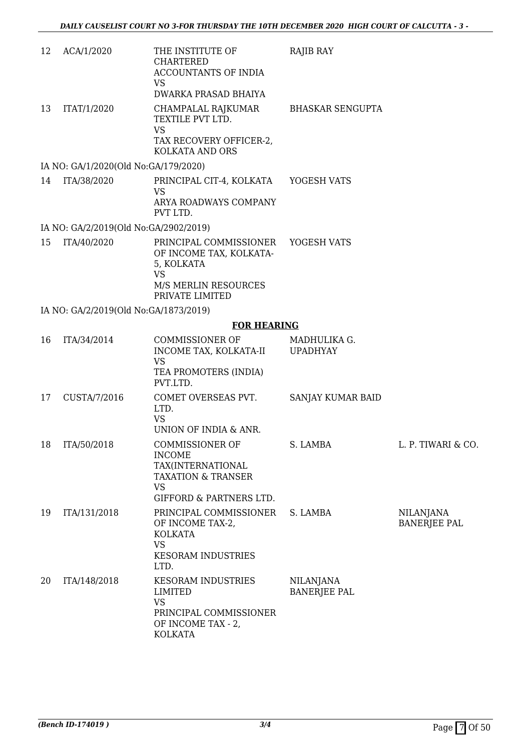| 12 | ACA/1/2020                            | THE INSTITUTE OF<br><b>CHARTERED</b><br>ACCOUNTANTS OF INDIA<br><b>VS</b>                                                  | RAJIB RAY                               |                                         |
|----|---------------------------------------|----------------------------------------------------------------------------------------------------------------------------|-----------------------------------------|-----------------------------------------|
|    |                                       | DWARKA PRASAD BHAIYA                                                                                                       |                                         |                                         |
| 13 | ITAT/1/2020                           | CHAMPALAL RAJKUMAR<br>TEXTILE PVT LTD.<br><b>VS</b><br>TAX RECOVERY OFFICER-2,<br>KOLKATA AND ORS                          | <b>BHASKAR SENGUPTA</b>                 |                                         |
|    | IA NO: GA/1/2020(Old No:GA/179/2020)  |                                                                                                                            |                                         |                                         |
| 14 | ITA/38/2020                           | PRINCIPAL CIT-4, KOLKATA                                                                                                   | YOGESH VATS                             |                                         |
|    |                                       | VS<br>ARYA ROADWAYS COMPANY<br>PVT LTD.                                                                                    |                                         |                                         |
|    | IA NO: GA/2/2019(Old No:GA/2902/2019) |                                                                                                                            |                                         |                                         |
| 15 | ITA/40/2020                           | PRINCIPAL COMMISSIONER<br>OF INCOME TAX, KOLKATA-<br>5, KOLKATA<br><b>VS</b>                                               | YOGESH VATS                             |                                         |
|    |                                       | M/S MERLIN RESOURCES<br>PRIVATE LIMITED                                                                                    |                                         |                                         |
|    | IA NO: GA/2/2019(Old No:GA/1873/2019) |                                                                                                                            |                                         |                                         |
|    |                                       | <b>FOR HEARING</b>                                                                                                         |                                         |                                         |
| 16 | ITA/34/2014                           | COMMISSIONER OF<br>INCOME TAX, KOLKATA-II<br><b>VS</b>                                                                     | MADHULIKA G.<br><b>UPADHYAY</b>         |                                         |
|    |                                       | TEA PROMOTERS (INDIA)<br>PVT.LTD.                                                                                          |                                         |                                         |
| 17 | CUSTA/7/2016                          | COMET OVERSEAS PVT.<br>LTD.<br><b>VS</b><br>UNION OF INDIA & ANR.                                                          | SANJAY KUMAR BAID                       |                                         |
| 18 | ITA/50/2018                           | <b>COMMISSIONER OF</b>                                                                                                     | S. LAMBA                                | L. P. TIWARI & CO.                      |
|    |                                       | <b>INCOME</b><br>TAX(INTERNATIONAL<br><b>TAXATION &amp; TRANSER</b><br>VS<br><b>GIFFORD &amp; PARTNERS LTD.</b>            |                                         |                                         |
| 19 | ITA/131/2018                          | PRINCIPAL COMMISSIONER<br>OF INCOME TAX-2,<br><b>KOLKATA</b><br><b>VS</b><br><b>KESORAM INDUSTRIES</b><br>LTD.             | S. LAMBA                                | <b>NILANJANA</b><br><b>BANERJEE PAL</b> |
| 20 | ITA/148/2018                          | <b>KESORAM INDUSTRIES</b><br><b>LIMITED</b><br><b>VS</b><br>PRINCIPAL COMMISSIONER<br>OF INCOME TAX - 2,<br><b>KOLKATA</b> | <b>NILANJANA</b><br><b>BANERJEE PAL</b> |                                         |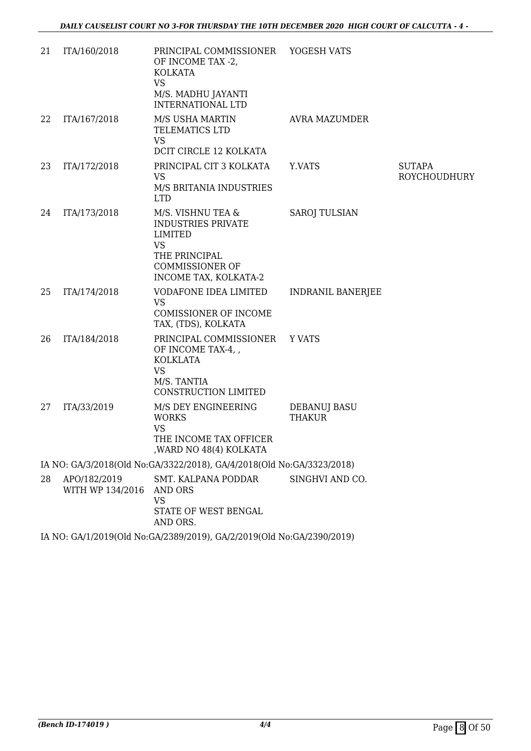| 21 | ITA/160/2018                     | PRINCIPAL COMMISSIONER YOGESH VATS<br>OF INCOME TAX -2,<br><b>KOLKATA</b><br><b>VS</b><br>M/S. MADHU JAYANTI<br><b>INTERNATIONAL LTD</b>          |                               |                               |
|----|----------------------------------|---------------------------------------------------------------------------------------------------------------------------------------------------|-------------------------------|-------------------------------|
| 22 | ITA/167/2018                     | M/S USHA MARTIN<br>TELEMATICS LTD<br><b>VS</b><br>DCIT CIRCLE 12 KOLKATA                                                                          | AVRA MAZUMDER                 |                               |
| 23 | ITA/172/2018                     | PRINCIPAL CIT 3 KOLKATA<br><b>VS</b><br>M/S BRITANIA INDUSTRIES<br><b>LTD</b>                                                                     | Y.VATS                        | <b>SUTAPA</b><br>ROYCHOUDHURY |
| 24 | ITA/173/2018                     | M/S. VISHNU TEA &<br><b>INDUSTRIES PRIVATE</b><br><b>LIMITED</b><br><b>VS</b><br>THE PRINCIPAL<br><b>COMMISSIONER OF</b><br>INCOME TAX, KOLKATA-2 | <b>SAROJ TULSIAN</b>          |                               |
| 25 | ITA/174/2018                     | VODAFONE IDEA LIMITED<br><b>VS</b><br><b>COMISSIONER OF INCOME</b><br>TAX, (TDS), KOLKATA                                                         | <b>INDRANIL BANERJEE</b>      |                               |
| 26 | ITA/184/2018                     | PRINCIPAL COMMISSIONER<br>OF INCOME TAX-4,<br><b>KOLKLATA</b><br><b>VS</b><br>M/S. TANTIA<br>CONSTRUCTION LIMITED                                 | Y VATS                        |                               |
| 27 | ITA/33/2019                      | M/S DEY ENGINEERING<br><b>WORKS</b><br><b>VS</b><br>THE INCOME TAX OFFICER<br>, WARD NO 48(4) KOLKATA                                             | DEBANUJ BASU<br><b>THAKUR</b> |                               |
|    |                                  | IA NO: GA/3/2018(Old No:GA/3322/2018), GA/4/2018(Old No:GA/3323/2018)                                                                             |                               |                               |
| 28 | APO/182/2019<br>WITH WP 134/2016 | SMT. KALPANA PODDAR<br>AND ORS<br><b>VS</b><br>STATE OF WEST BENGAL<br>AND ORS.                                                                   | SINGHVI AND CO.               |                               |
|    |                                  | IA NO: GA/1/2019(Old No:GA/2389/2019), GA/2/2019(Old No:GA/2390/2019)                                                                             |                               |                               |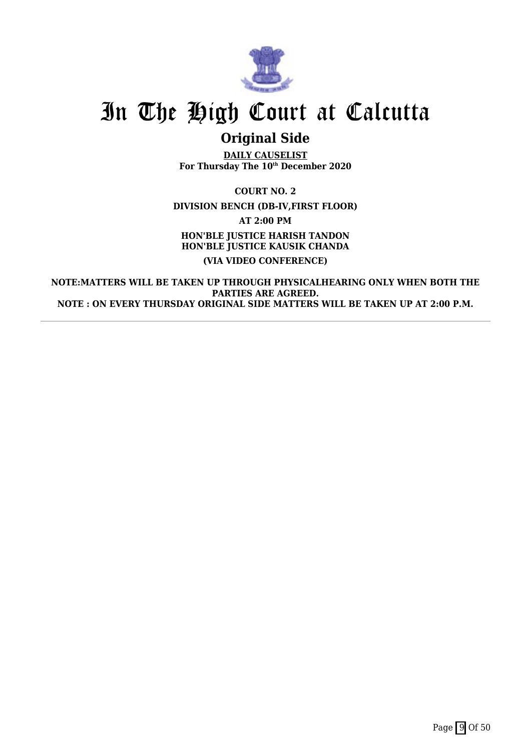

## **Original Side**

**DAILY CAUSELIST For Thursday The 10th December 2020**

**COURT NO. 2 DIVISION BENCH (DB-IV,FIRST FLOOR) AT 2:00 PM HON'BLE JUSTICE HARISH TANDON HON'BLE JUSTICE KAUSIK CHANDA (VIA VIDEO CONFERENCE)**

**NOTE:MATTERS WILL BE TAKEN UP THROUGH PHYSICALHEARING ONLY WHEN BOTH THE PARTIES ARE AGREED. NOTE : ON EVERY THURSDAY ORIGINAL SIDE MATTERS WILL BE TAKEN UP AT 2:00 P.M.**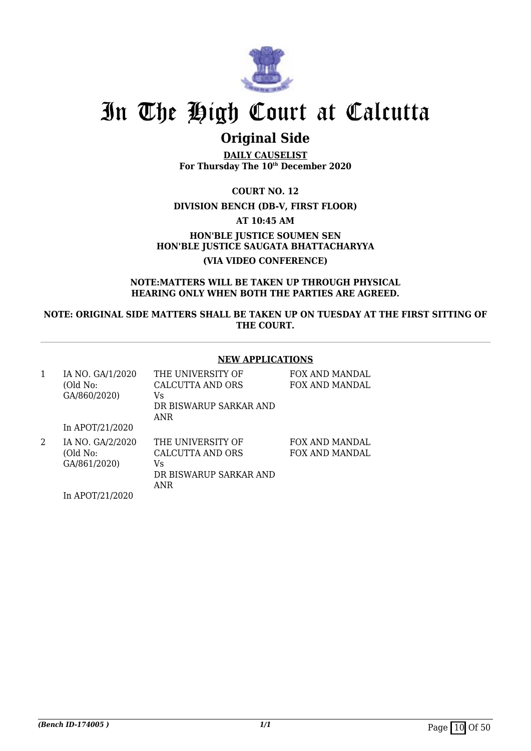

## **Original Side**

**DAILY CAUSELIST For Thursday The 10th December 2020**

**COURT NO. 12**

## **DIVISION BENCH (DB-V, FIRST FLOOR)**

**AT 10:45 AM**

**HON'BLE JUSTICE SOUMEN SEN HON'BLE JUSTICE SAUGATA BHATTACHARYYA (VIA VIDEO CONFERENCE)**

### **NOTE:MATTERS WILL BE TAKEN UP THROUGH PHYSICAL HEARING ONLY WHEN BOTH THE PARTIES ARE AGREED.**

**NOTE: ORIGINAL SIDE MATTERS SHALL BE TAKEN UP ON TUESDAY AT THE FIRST SITTING OF THE COURT.**

## **NEW APPLICATIONS**

| 1 | IA NO. GA/1/2020<br>(Old No:<br>GA/860/2020) | THE UNIVERSITY OF<br><b>CALCUTTA AND ORS</b><br>Vs<br>DR BISWARUP SARKAR AND<br>ANR | FOX AND MANDAL<br>FOX AND MANDAL        |
|---|----------------------------------------------|-------------------------------------------------------------------------------------|-----------------------------------------|
|   | In APOT/21/2020                              |                                                                                     |                                         |
| 2 | IA NO. GA/2/2020<br>(Old No:<br>GA/861/2020) | THE UNIVERSITY OF<br>CALCUTTA AND ORS<br>Vs<br>DR BISWARUP SARKAR AND               | FOX AND MANDAL<br><b>FOX AND MANDAL</b> |

ANR

In APOT/21/2020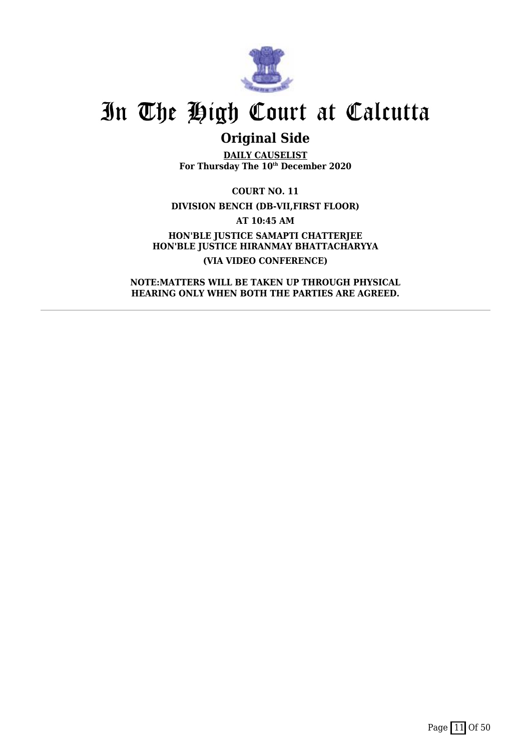

## **Original Side**

**DAILY CAUSELIST For Thursday The 10th December 2020**

**COURT NO. 11 DIVISION BENCH (DB-VII,FIRST FLOOR) AT 10:45 AM HON'BLE JUSTICE SAMAPTI CHATTERJEE HON'BLE JUSTICE HIRANMAY BHATTACHARYYA (VIA VIDEO CONFERENCE)**

**NOTE:MATTERS WILL BE TAKEN UP THROUGH PHYSICAL HEARING ONLY WHEN BOTH THE PARTIES ARE AGREED.**

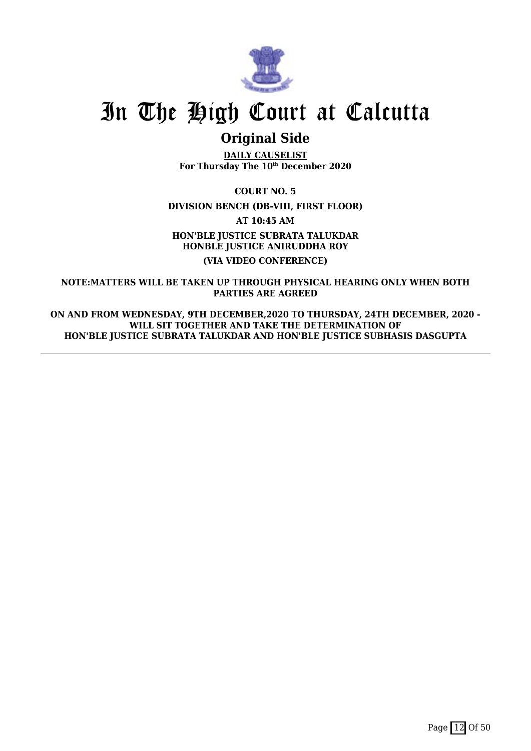

## **Original Side**

**DAILY CAUSELIST For Thursday The 10th December 2020**

**COURT NO. 5**

**DIVISION BENCH (DB-VIII, FIRST FLOOR)**

**AT 10:45 AM**

**HON'BLE JUSTICE SUBRATA TALUKDAR HONBLE JUSTICE ANIRUDDHA ROY (VIA VIDEO CONFERENCE)**

**NOTE:MATTERS WILL BE TAKEN UP THROUGH PHYSICAL HEARING ONLY WHEN BOTH PARTIES ARE AGREED**

**ON AND FROM WEDNESDAY, 9TH DECEMBER,2020 TO THURSDAY, 24TH DECEMBER, 2020 - WILL SIT TOGETHER AND TAKE THE DETERMINATION OF HON'BLE JUSTICE SUBRATA TALUKDAR AND HON'BLE JUSTICE SUBHASIS DASGUPTA**

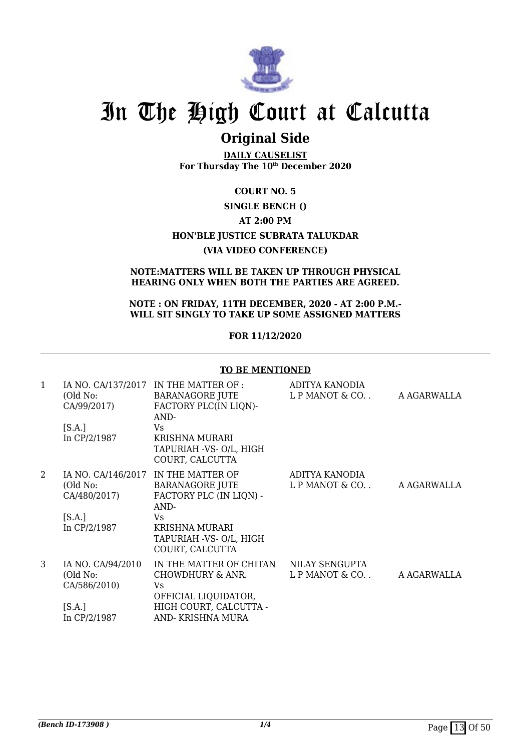

## **Original Side**

**DAILY CAUSELIST For Thursday The 10th December 2020**

## **COURT NO. 5 SINGLE BENCH () AT 2:00 PM HON'BLE JUSTICE SUBRATA TALUKDAR (VIA VIDEO CONFERENCE)**

## **NOTE:MATTERS WILL BE TAKEN UP THROUGH PHYSICAL HEARING ONLY WHEN BOTH THE PARTIES ARE AGREED.**

### **NOTE : ON FRIDAY, 11TH DECEMBER, 2020 - AT 2:00 P.M.- WILL SIT SINGLY TO TAKE UP SOME ASSIGNED MATTERS**

## **FOR 11/12/2020**

|              | <b>TO BE MENTIONED</b>                                   |                                                                                                                                                                          |                                  |             |
|--------------|----------------------------------------------------------|--------------------------------------------------------------------------------------------------------------------------------------------------------------------------|----------------------------------|-------------|
| $\mathbf{1}$ | (Old No:<br>CA/99/2017)<br>[S.A.]<br>In CP/2/1987        | IA NO. $CA/137/2017$ IN THE MATTER OF :<br>BARANAGORE JUTE<br>FACTORY PLC(IN LIQN)-<br>AND-<br><b>Vs</b><br>KRISHNA MURARI<br>TAPURIAH -VS- O/L, HIGH<br>COURT, CALCUTTA | ADITYA KANODIA<br>L P MANOT & CO | A AGARWALLA |
| 2            | IA NO. CA/146/2017<br>(Old No:<br>CA/480/2017)<br>[S.A.] | IN THE MATTER OF<br><b>BARANAGORE JUTE</b><br>FACTORY PLC (IN LIQN) -<br>AND-<br><b>Vs</b>                                                                               | ADITYA KANODIA<br>L P MANOT & CO | A AGARWALLA |
|              | In CP/2/1987                                             | <b>KRISHNA MURARI</b><br>TAPURIAH -VS- O/L, HIGH<br>COURT, CALCUTTA                                                                                                      |                                  |             |
| 3            | IA NO. CA/94/2010<br>(Old No:<br>CA/586/2010)            | IN THE MATTER OF CHITAN<br>CHOWDHURY & ANR.<br>Vs.<br>OFFICIAL LIQUIDATOR,                                                                                               | NILAY SENGUPTA<br>L P MANOT & CO | A AGARWALLA |
|              | [S.A.]<br>In CP/2/1987                                   | HIGH COURT, CALCUTTA -<br>AND-KRISHNA MURA                                                                                                                               |                                  |             |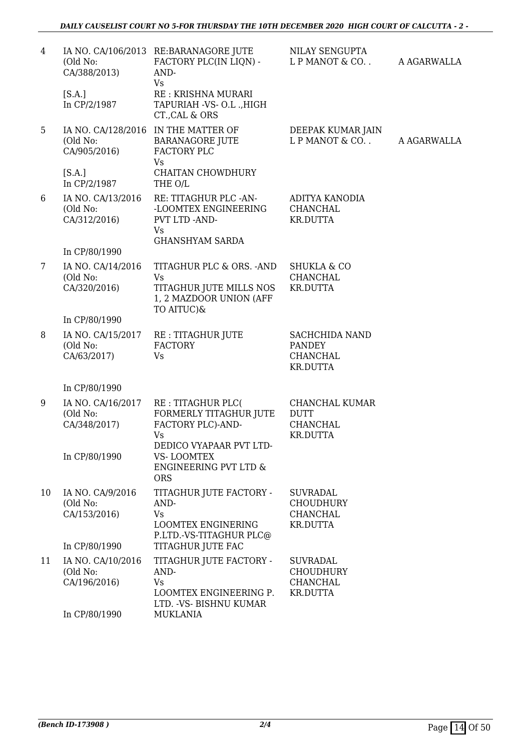| 4  | (Old No:<br>CA/388/2013)                                       | IA NO. CA/106/2013 RE:BARANAGORE JUTE<br>FACTORY PLC(IN LIQN) -<br>AND-<br>Vs                                           | NILAY SENGUPTA<br>L P MANOT & CO                                          | A AGARWALLA |
|----|----------------------------------------------------------------|-------------------------------------------------------------------------------------------------------------------------|---------------------------------------------------------------------------|-------------|
|    | [S.A.]<br>In CP/2/1987                                         | RE : KRISHNA MURARI<br>TAPURIAH -VS- O.L., HIGH<br>CT., CAL & ORS                                                       |                                                                           |             |
| 5  | (Old No:<br>CA/905/2016)                                       | IA NO. CA/128/2016 IN THE MATTER OF<br><b>BARANAGORE JUTE</b><br>FACTORY PLC                                            | DEEPAK KUMAR JAIN<br>L P MANOT & CO                                       | A AGARWALLA |
|    | [S.A.]<br>In CP/2/1987                                         | <b>Vs</b><br>CHAITAN CHOWDHURY<br>THE O/L                                                                               |                                                                           |             |
| 6  | IA NO. CA/13/2016<br>(Old No:<br>CA/312/2016)                  | RE: TITAGHUR PLC -AN-<br>-LOOMTEX ENGINEERING<br>PVT LTD -AND-<br>Vs<br><b>GHANSHYAM SARDA</b>                          | ADITYA KANODIA<br><b>CHANCHAL</b><br><b>KR.DUTTA</b>                      |             |
|    | In CP/80/1990                                                  |                                                                                                                         |                                                                           |             |
| 7  | IA NO. CA/14/2016<br>(Old No:<br>CA/320/2016)                  | TITAGHUR PLC & ORS. - AND<br><b>Vs</b><br>TITAGHUR JUTE MILLS NOS                                                       | <b>SHUKLA &amp; CO</b><br><b>CHANCHAL</b><br><b>KR.DUTTA</b>              |             |
|    |                                                                | 1, 2 MAZDOOR UNION (AFF<br>TO AITUC)&                                                                                   |                                                                           |             |
|    | In CP/80/1990                                                  |                                                                                                                         |                                                                           |             |
| 8  | IA NO. CA/15/2017<br>(Old No:<br>CA/63/2017)                   | RE : TITAGHUR JUTE<br><b>FACTORY</b><br>Vs                                                                              | SACHCHIDA NAND<br><b>PANDEY</b><br><b>CHANCHAL</b><br><b>KR.DUTTA</b>     |             |
|    | In CP/80/1990                                                  |                                                                                                                         |                                                                           |             |
| 9  | IA NO. CA/16/2017<br>(Old No:<br>CA/348/2017)<br>In CP/80/1990 | RE : TITAGHUR PLC(<br>FORMERLY TITAGHUR JUTE<br>FACTORY PLC)-AND-<br>Vs<br>DEDICO VYAPAAR PVT LTD-<br><b>VS-LOOMTEX</b> | CHANCHAL KUMAR<br><b>DUTT</b><br><b>CHANCHAL</b><br><b>KR.DUTTA</b>       |             |
|    |                                                                | <b>ENGINEERING PVT LTD &amp;</b><br><b>ORS</b>                                                                          |                                                                           |             |
| 10 | IA NO. CA/9/2016<br>(Old No:<br>CA/153/2016)                   | TITAGHUR JUTE FACTORY -<br>AND-<br><b>Vs</b><br><b>LOOMTEX ENGINERING</b><br>P.LTD.-VS-TITAGHUR PLC@                    | <b>SUVRADAL</b><br><b>CHOUDHURY</b><br><b>CHANCHAL</b><br><b>KR.DUTTA</b> |             |
|    | In CP/80/1990                                                  | TITAGHUR JUTE FAC                                                                                                       |                                                                           |             |
| 11 | IA NO. CA/10/2016<br>(Old No:<br>CA/196/2016)                  | TITAGHUR JUTE FACTORY -<br>AND-<br><b>Vs</b><br>LOOMTEX ENGINEERING P.                                                  | <b>SUVRADAL</b><br><b>CHOUDHURY</b><br>CHANCHAL<br><b>KR.DUTTA</b>        |             |
|    | In CP/80/1990                                                  | LTD. - VS- BISHNU KUMAR<br><b>MUKLANIA</b>                                                                              |                                                                           |             |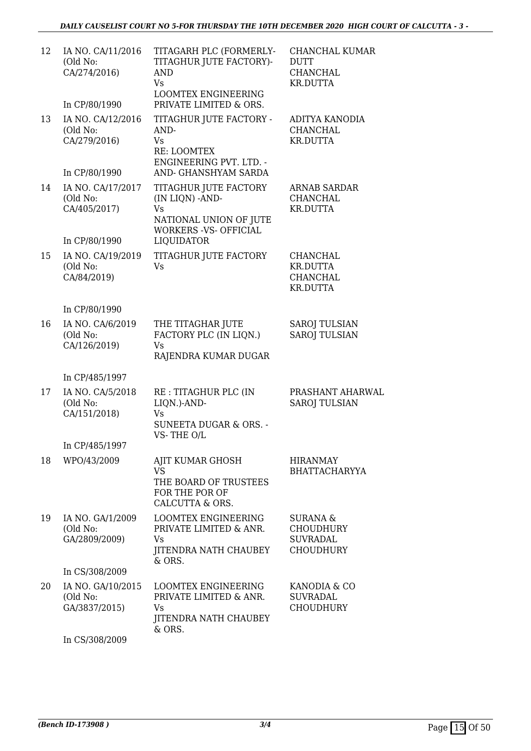| 12 | IA NO. CA/11/2016<br>(Old No:<br>CA/274/2016)                  | TITAGARH PLC (FORMERLY-<br>TITAGHUR JUTE FACTORY)-<br>AND<br><b>Vs</b><br><b>LOOMTEX ENGINEERING</b>                                  | CHANCHAL KUMAR<br><b>DUTT</b><br><b>CHANCHAL</b><br><b>KR.DUTTA</b> |
|----|----------------------------------------------------------------|---------------------------------------------------------------------------------------------------------------------------------------|---------------------------------------------------------------------|
|    | In CP/80/1990                                                  | PRIVATE LIMITED & ORS.                                                                                                                |                                                                     |
| 13 | IA NO. CA/12/2016<br>(Old No:<br>CA/279/2016)<br>In CP/80/1990 | TITAGHUR JUTE FACTORY -<br>AND-<br>Vs<br>RE: LOOMTEX<br><b>ENGINEERING PVT. LTD. -</b><br>AND- GHANSHYAM SARDA                        | ADITYA KANODIA<br><b>CHANCHAL</b><br><b>KR.DUTTA</b>                |
|    |                                                                |                                                                                                                                       |                                                                     |
| 14 | IA NO. CA/17/2017<br>(Old No:<br>CA/405/2017)<br>In CP/80/1990 | TITAGHUR JUTE FACTORY<br>(IN LIQN) - AND-<br><b>Vs</b><br>NATIONAL UNION OF JUTE<br><b>WORKERS -VS- OFFICIAL</b><br><b>LIQUIDATOR</b> | <b>ARNAB SARDAR</b><br>CHANCHAL<br><b>KR.DUTTA</b>                  |
| 15 | IA NO. CA/19/2019<br>(Old No:<br>CA/84/2019)                   | TITAGHUR JUTE FACTORY<br><b>Vs</b>                                                                                                    | CHANCHAL<br><b>KR.DUTTA</b><br><b>CHANCHAL</b><br><b>KR.DUTTA</b>   |
|    | In CP/80/1990                                                  |                                                                                                                                       |                                                                     |
| 16 | IA NO. CA/6/2019<br>(Old No:<br>CA/126/2019)                   | THE TITAGHAR JUTE<br>FACTORY PLC (IN LIQN.)<br><b>Vs</b><br>RAJENDRA KUMAR DUGAR                                                      | <b>SAROJ TULSIAN</b><br><b>SAROJ TULSIAN</b>                        |
|    | In CP/485/1997                                                 |                                                                                                                                       |                                                                     |
| 17 | IA NO. CA/5/2018<br>(Old No:<br>CA/151/2018)                   | RE: TITAGHUR PLC (IN<br>LIQN.)-AND-<br>Vs<br>SUNEETA DUGAR & ORS. -                                                                   | PRASHANT AHARWAL<br><b>SAROJ TULSIAN</b>                            |
|    | In CP/485/1997                                                 | VS-THE O/L                                                                                                                            |                                                                     |
| 18 | WPO/43/2009                                                    | AJIT KUMAR GHOSH<br><b>VS</b><br>THE BOARD OF TRUSTEES<br>FOR THE POR OF<br>CALCUTTA & ORS.                                           | <b>HIRANMAY</b><br><b>BHATTACHARYYA</b>                             |
| 19 | IA NO. GA/1/2009<br>(Old No:<br>GA/2809/2009)                  | <b>LOOMTEX ENGINEERING</b><br>PRIVATE LIMITED & ANR.<br>Vs<br><b>JITENDRA NATH CHAUBEY</b><br>& ORS.                                  | SURANA &<br><b>CHOUDHURY</b><br><b>SUVRADAL</b><br><b>CHOUDHURY</b> |
|    | In CS/308/2009                                                 |                                                                                                                                       |                                                                     |
| 20 | IA NO. GA/10/2015<br>(Old No:<br>GA/3837/2015)                 | <b>LOOMTEX ENGINEERING</b><br>PRIVATE LIMITED & ANR.<br>Vs<br>JITENDRA NATH CHAUBEY<br>& ORS.                                         | KANODIA & CO<br><b>SUVRADAL</b><br><b>CHOUDHURY</b>                 |

In CS/308/2009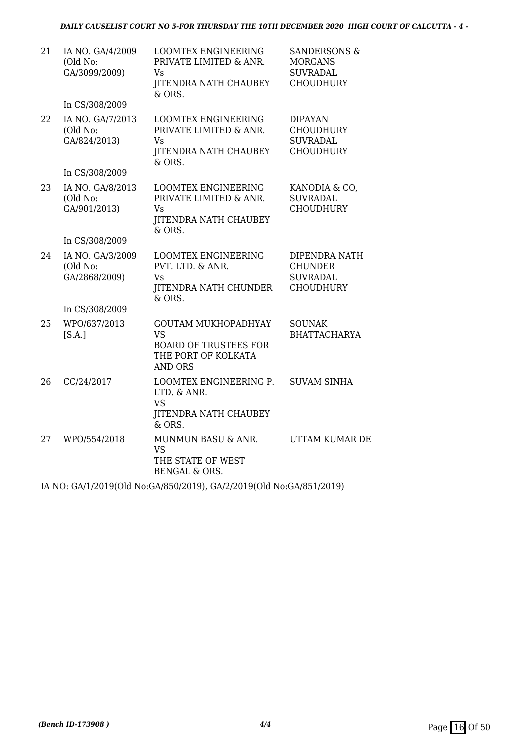| 21 | IA NO. GA/4/2009<br>(Old No:<br>GA/3099/2009) | <b>LOOMTEX ENGINEERING</b><br>PRIVATE LIMITED & ANR.<br>Vs<br><b>JITENDRA NATH CHAUBEY</b><br>& ORS.             | <b>SANDERSONS &amp;</b><br><b>MORGANS</b><br><b>SUVRADAL</b><br><b>CHOUDHURY</b> |
|----|-----------------------------------------------|------------------------------------------------------------------------------------------------------------------|----------------------------------------------------------------------------------|
|    | In CS/308/2009                                |                                                                                                                  |                                                                                  |
| 22 | IA NO. GA/7/2013<br>(Old No:<br>GA/824/2013)  | <b>LOOMTEX ENGINEERING</b><br>PRIVATE LIMITED & ANR.<br>Vs<br><b>JITENDRA NATH CHAUBEY</b><br>& ORS.             | <b>DIPAYAN</b><br><b>CHOUDHURY</b><br><b>SUVRADAL</b><br><b>CHOUDHURY</b>        |
|    | In CS/308/2009                                |                                                                                                                  |                                                                                  |
| 23 | IA NO. GA/8/2013<br>(Old No:<br>GA/901/2013)  | <b>LOOMTEX ENGINEERING</b><br>PRIVATE LIMITED & ANR.<br>Vs<br><b>JITENDRA NATH CHAUBEY</b><br>& ORS.             | KANODIA & CO,<br><b>SUVRADAL</b><br><b>CHOUDHURY</b>                             |
|    | In CS/308/2009                                |                                                                                                                  |                                                                                  |
| 24 | IA NO. GA/3/2009<br>(Old No:<br>GA/2868/2009) | <b>LOOMTEX ENGINEERING</b><br>PVT. LTD. & ANR.<br>Vs<br><b>JITENDRA NATH CHUNDER</b><br>& ORS.                   | DIPENDRA NATH<br><b>CHUNDER</b><br><b>SUVRADAL</b><br><b>CHOUDHURY</b>           |
|    | In CS/308/2009                                |                                                                                                                  |                                                                                  |
| 25 | WPO/637/2013<br>[S.A.]                        | <b>GOUTAM MUKHOPADHYAY</b><br><b>VS</b><br><b>BOARD OF TRUSTEES FOR</b><br>THE PORT OF KOLKATA<br><b>AND ORS</b> | <b>SOUNAK</b><br><b>BHATTACHARYA</b>                                             |
| 26 | CC/24/2017                                    | LOOMTEX ENGINEERING P.<br>LTD. & ANR.<br><b>VS</b><br><b>JITENDRA NATH CHAUBEY</b><br>& ORS.                     | <b>SUVAM SINHA</b>                                                               |
| 27 | WPO/554/2018                                  | MUNMUN BASU & ANR.<br><b>VS</b><br>THE STATE OF WEST<br><b>BENGAL &amp; ORS.</b>                                 | UTTAM KUMAR DE                                                                   |

IA NO: GA/1/2019(Old No:GA/850/2019), GA/2/2019(Old No:GA/851/2019)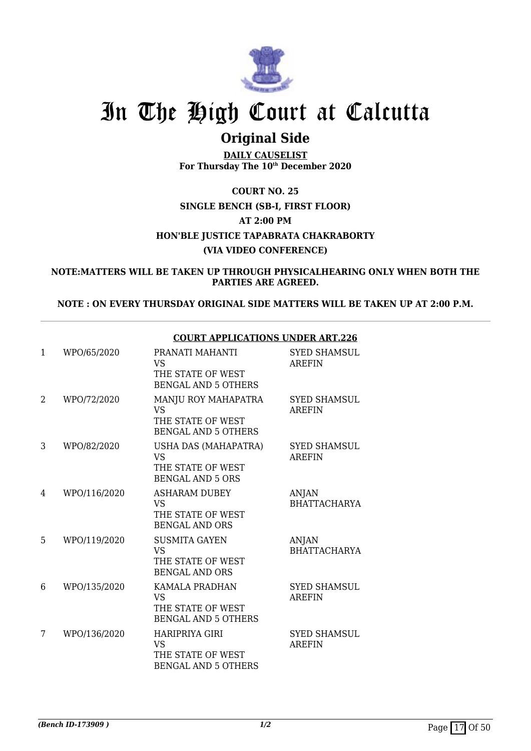

## **Original Side**

**DAILY CAUSELIST For Thursday The 10th December 2020**

**COURT NO. 25 SINGLE BENCH (SB-I, FIRST FLOOR) AT 2:00 PM HON'BLE JUSTICE TAPABRATA CHAKRABORTY (VIA VIDEO CONFERENCE)**

**NOTE:MATTERS WILL BE TAKEN UP THROUGH PHYSICALHEARING ONLY WHEN BOTH THE PARTIES ARE AGREED.**

**NOTE : ON EVERY THURSDAY ORIGINAL SIDE MATTERS WILL BE TAKEN UP AT 2:00 P.M.**

| 1              | WPO/65/2020  | PRANATI MAHANTI<br><b>VS</b><br>THE STATE OF WEST<br><b>BENGAL AND 5 OTHERS</b>       | <b>SYED SHAMSUL</b><br><b>AREFIN</b> |
|----------------|--------------|---------------------------------------------------------------------------------------|--------------------------------------|
| $\overline{2}$ | WPO/72/2020  | MANJU ROY MAHAPATRA<br><b>VS</b><br>THE STATE OF WEST<br><b>BENGAL AND 5 OTHERS</b>   | <b>SYED SHAMSUL</b><br><b>AREFIN</b> |
| 3              | WPO/82/2020  | USHA DAS (MAHAPATRA)<br><b>VS</b><br>THE STATE OF WEST<br><b>BENGAL AND 5 ORS</b>     | <b>SYED SHAMSUL</b><br><b>AREFIN</b> |
| 4              | WPO/116/2020 | <b>ASHARAM DUBEY</b><br><b>VS</b><br>THE STATE OF WEST<br><b>BENGAL AND ORS</b>       | <b>ANJAN</b><br><b>BHATTACHARYA</b>  |
| 5              | WPO/119/2020 | <b>SUSMITA GAYEN</b><br><b>VS</b><br>THE STATE OF WEST<br><b>BENGAL AND ORS</b>       | <b>ANJAN</b><br><b>BHATTACHARYA</b>  |
| 6              | WPO/135/2020 | <b>KAMALA PRADHAN</b><br><b>VS</b><br>THE STATE OF WEST<br><b>BENGAL AND 5 OTHERS</b> | <b>SYED SHAMSUL</b><br><b>AREFIN</b> |
| 7              | WPO/136/2020 | HARIPRIYA GIRI<br><b>VS</b><br>THE STATE OF WEST<br><b>BENGAL AND 5 OTHERS</b>        | <b>SYED SHAMSUL</b><br><b>AREFIN</b> |

## **COURT APPLICATIONS UNDER ART.226**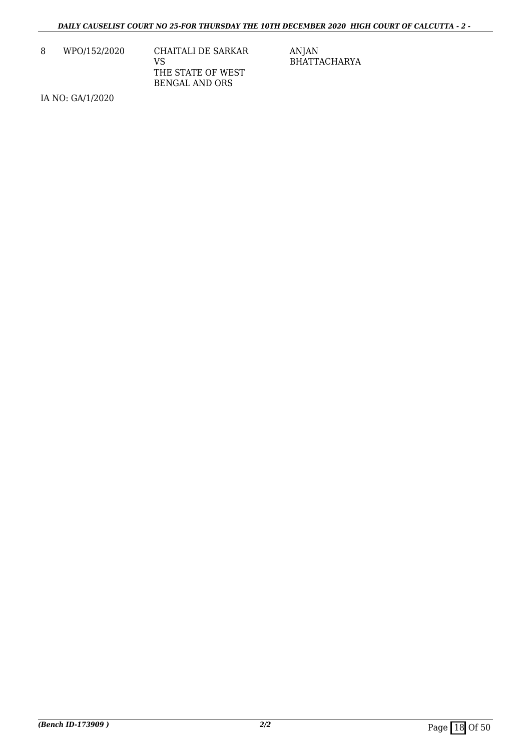| 8 | WPO/152/2020 | CHAITALI DE SARKAR |
|---|--------------|--------------------|
|   |              | VS                 |
|   |              | THE STATE OF WEST  |
|   |              | BENGAL AND ORS     |

IA NO: GA/1/2020

ANJAN BHATTACHARYA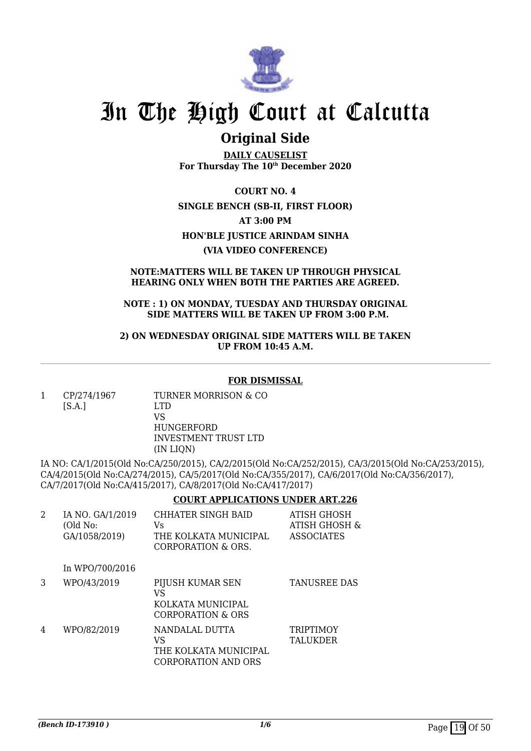

## **Original Side**

**DAILY CAUSELIST For Thursday The 10th December 2020**

**COURT NO. 4 SINGLE BENCH (SB-II, FIRST FLOOR) AT 3:00 PM HON'BLE JUSTICE ARINDAM SINHA (VIA VIDEO CONFERENCE)**

### **NOTE:MATTERS WILL BE TAKEN UP THROUGH PHYSICAL HEARING ONLY WHEN BOTH THE PARTIES ARE AGREED.**

### **NOTE : 1) ON MONDAY, TUESDAY AND THURSDAY ORIGINAL SIDE MATTERS WILL BE TAKEN UP FROM 3:00 P.M.**

**2) ON WEDNESDAY ORIGINAL SIDE MATTERS WILL BE TAKEN UP FROM 10:45 A.M.**

### **FOR DISMISSAL**

1 CP/274/1967  $[S.A.]$ TURNER MORRISON & CO LTD VS HUNGERFORD

INVESTMENT TRUST LTD (IN LIQN)

IA NO: CA/1/2015(Old No:CA/250/2015), CA/2/2015(Old No:CA/252/2015), CA/3/2015(Old No:CA/253/2015), CA/4/2015(Old No:CA/274/2015), CA/5/2017(Old No:CA/355/2017), CA/6/2017(Old No:CA/356/2017), CA/7/2017(Old No:CA/415/2017), CA/8/2017(Old No:CA/417/2017)

## **COURT APPLICATIONS UNDER ART.226**

| 2 | IA NO. GA/1/2019<br>(Old No:<br>GA/1058/2019) | CHHATER SINGH BAID<br>Vs<br>THE KOLKATA MUNICIPAL<br>CORPORATION & ORS. | ATISH GHOSH<br>ATISH GHOSH &<br><b>ASSOCIATES</b> |
|---|-----------------------------------------------|-------------------------------------------------------------------------|---------------------------------------------------|
|   | In WPO/700/2016                               |                                                                         |                                                   |
| 3 | WPO/43/2019                                   | PIJUSH KUMAR SEN<br>VS<br>KOLKATA MUNICIPAL<br>CORPORATION & ORS        | <b>TANUSREE DAS</b>                               |
| 4 | WPO/82/2019                                   | NANDALAL DUTTA<br>VS<br>THE KOLKATA MUNICIPAL<br>CORPORATION AND ORS    | <b>TRIPTIMOY</b><br><b>TALUKDER</b>               |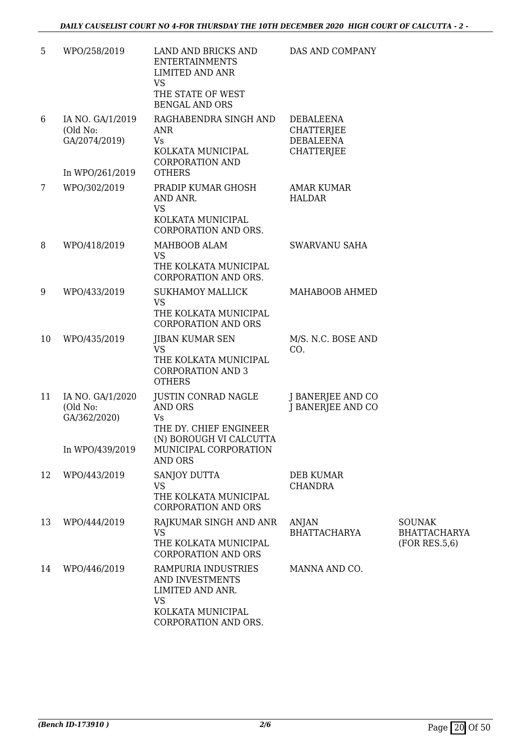| 5  | WPO/258/2019                                                    | LAND AND BRICKS AND<br><b>ENTERTAINMENTS</b><br><b>LIMITED AND ANR</b><br><b>VS</b><br>THE STATE OF WEST<br><b>BENGAL AND ORS</b> | DAS AND COMPANY                                                         |                                                       |
|----|-----------------------------------------------------------------|-----------------------------------------------------------------------------------------------------------------------------------|-------------------------------------------------------------------------|-------------------------------------------------------|
| 6  | IA NO. GA/1/2019<br>(Old No:<br>GA/2074/2019)                   | RAGHABENDRA SINGH AND<br>ANR<br>Vs<br>KOLKATA MUNICIPAL<br><b>CORPORATION AND</b><br><b>OTHERS</b>                                | <b>DEBALEENA</b><br><b>CHATTERJEE</b><br>DEBALEENA<br><b>CHATTERJEE</b> |                                                       |
| 7  | In WPO/261/2019<br>WPO/302/2019                                 | PRADIP KUMAR GHOSH<br>AND ANR.<br><b>VS</b><br>KOLKATA MUNICIPAL<br>CORPORATION AND ORS.                                          | <b>AMAR KUMAR</b><br><b>HALDAR</b>                                      |                                                       |
| 8  | WPO/418/2019                                                    | MAHBOOB ALAM<br><b>VS</b><br>THE KOLKATA MUNICIPAL<br>CORPORATION AND ORS.                                                        | SWARVANU SAHA                                                           |                                                       |
| 9  | WPO/433/2019                                                    | <b>SUKHAMOY MALLICK</b><br><b>VS</b><br>THE KOLKATA MUNICIPAL<br><b>CORPORATION AND ORS</b>                                       | MAHABOOB AHMED                                                          |                                                       |
| 10 | WPO/435/2019                                                    | JIBAN KUMAR SEN<br><b>VS</b><br>THE KOLKATA MUNICIPAL<br><b>CORPORATION AND 3</b><br><b>OTHERS</b>                                | M/S. N.C. BOSE AND<br>CO.                                               |                                                       |
| 11 | IA NO. GA/1/2020<br>(Old No:<br>GA/362/2020)<br>In WPO/439/2019 | JUSTIN CONRAD NAGLE<br><b>AND ORS</b><br>Vs<br>THE DY. CHIEF ENGINEER<br>(N) BOROUGH VI CALCUTTA<br>MUNICIPAL CORPORATION         | J BANERJEE AND CO<br>J BANERJEE AND CO                                  |                                                       |
| 12 | WPO/443/2019                                                    | <b>AND ORS</b><br>SANJOY DUTTA<br><b>VS</b><br>THE KOLKATA MUNICIPAL<br><b>CORPORATION AND ORS</b>                                | DEB KUMAR<br><b>CHANDRA</b>                                             |                                                       |
| 13 | WPO/444/2019                                                    | RAJKUMAR SINGH AND ANR<br><b>VS</b><br>THE KOLKATA MUNICIPAL<br><b>CORPORATION AND ORS</b>                                        | ANJAN<br><b>BHATTACHARYA</b>                                            | <b>SOUNAK</b><br><b>BHATTACHARYA</b><br>(FOR RES.5,6) |
| 14 | WPO/446/2019                                                    | RAMPURIA INDUSTRIES<br>AND INVESTMENTS<br>LIMITED AND ANR.<br><b>VS</b><br>KOLKATA MUNICIPAL<br>CORPORATION AND ORS.              | MANNA AND CO.                                                           |                                                       |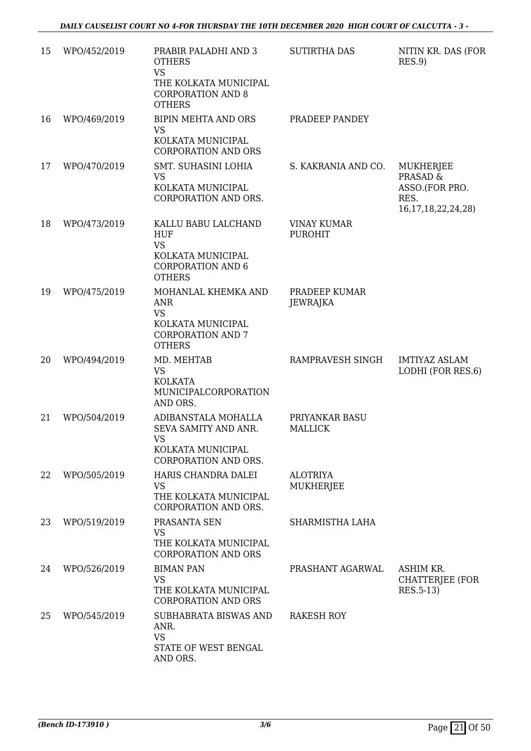| 15 | WPO/452/2019 | PRABIR PALADHI AND 3<br><b>OTHERS</b><br><b>VS</b><br>THE KOLKATA MUNICIPAL<br><b>CORPORATION AND 8</b>          | <b>SUTIRTHA DAS</b>                  | NITIN KR. DAS (FOR<br>RES.9                                       |
|----|--------------|------------------------------------------------------------------------------------------------------------------|--------------------------------------|-------------------------------------------------------------------|
| 16 | WPO/469/2019 | <b>OTHERS</b><br><b>BIPIN MEHTA AND ORS</b><br><b>VS</b><br>KOLKATA MUNICIPAL                                    | PRADEEP PANDEY                       |                                                                   |
| 17 | WPO/470/2019 | <b>CORPORATION AND ORS</b><br>SMT. SUHASINI LOHIA<br>VS<br>KOLKATA MUNICIPAL<br>CORPORATION AND ORS.             | S. KAKRANIA AND CO.                  | <b>MUKHERJEE</b><br><b>PRASAD &amp;</b><br>ASSO.(FOR PRO.<br>RES. |
| 18 | WPO/473/2019 | KALLU BABU LALCHAND<br><b>HUF</b><br><b>VS</b><br>KOLKATA MUNICIPAL<br><b>CORPORATION AND 6</b><br><b>OTHERS</b> | <b>VINAY KUMAR</b><br><b>PUROHIT</b> | 16, 17, 18, 22, 24, 28)                                           |
| 19 | WPO/475/2019 | MOHANLAL KHEMKA AND<br><b>ANR</b><br><b>VS</b><br>KOLKATA MUNICIPAL<br><b>CORPORATION AND 7</b><br><b>OTHERS</b> | PRADEEP KUMAR<br><b>JEWRAJKA</b>     |                                                                   |
| 20 | WPO/494/2019 | MD. MEHTAB<br><b>VS</b><br><b>KOLKATA</b><br>MUNICIPALCORPORATION<br>AND ORS.                                    | RAMPRAVESH SINGH                     | <b>IMTIYAZ ASLAM</b><br>LODHI (FOR RES.6)                         |
| 21 | WPO/504/2019 | ADIBANSTALA MOHALLA<br>SEVA SAMITY AND ANR.<br>VS<br>KOLKATA MUNICIPAL<br><b>CORPORATION AND ORS.</b>            | PRIYANKAR BASU<br><b>MALLICK</b>     |                                                                   |
| 22 | WPO/505/2019 | HARIS CHANDRA DALEI<br><b>VS</b><br>THE KOLKATA MUNICIPAL<br>CORPORATION AND ORS.                                | <b>ALOTRIYA</b><br><b>MUKHERJEE</b>  |                                                                   |
| 23 | WPO/519/2019 | PRASANTA SEN<br><b>VS</b><br>THE KOLKATA MUNICIPAL<br><b>CORPORATION AND ORS</b>                                 | SHARMISTHA LAHA                      |                                                                   |
| 24 | WPO/526/2019 | <b>BIMAN PAN</b><br><b>VS</b><br>THE KOLKATA MUNICIPAL<br><b>CORPORATION AND ORS</b>                             | PRASHANT AGARWAL                     | ASHIM KR.<br><b>CHATTERJEE (FOR</b><br>RES.5-13)                  |
| 25 | WPO/545/2019 | SUBHABRATA BISWAS AND<br>ANR.<br><b>VS</b><br>STATE OF WEST BENGAL<br>AND ORS.                                   | RAKESH ROY                           |                                                                   |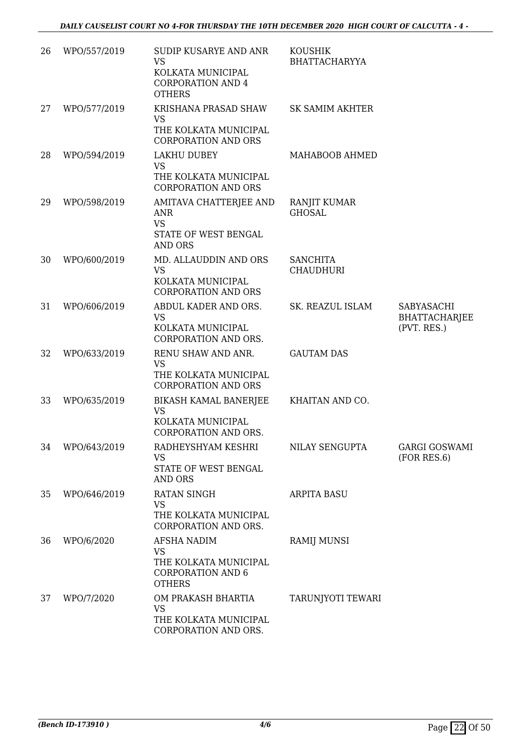| 26 | WPO/557/2019 | SUDIP KUSARYE AND ANR<br><b>VS</b><br>KOLKATA MUNICIPAL<br><b>CORPORATION AND 4</b><br><b>OTHERS</b> | <b>KOUSHIK</b><br><b>BHATTACHARYYA</b> |                                                   |
|----|--------------|------------------------------------------------------------------------------------------------------|----------------------------------------|---------------------------------------------------|
| 27 | WPO/577/2019 | KRISHANA PRASAD SHAW<br><b>VS</b><br>THE KOLKATA MUNICIPAL<br><b>CORPORATION AND ORS</b>             | <b>SK SAMIM AKHTER</b>                 |                                                   |
| 28 | WPO/594/2019 | LAKHU DUBEY<br><b>VS</b><br>THE KOLKATA MUNICIPAL<br><b>CORPORATION AND ORS</b>                      | MAHABOOB AHMED                         |                                                   |
| 29 | WPO/598/2019 | AMITAVA CHATTERJEE AND<br><b>ANR</b><br><b>VS</b><br>STATE OF WEST BENGAL<br><b>AND ORS</b>          | <b>RANJIT KUMAR</b><br><b>GHOSAL</b>   |                                                   |
| 30 | WPO/600/2019 | MD. ALLAUDDIN AND ORS<br><b>VS</b><br>KOLKATA MUNICIPAL<br><b>CORPORATION AND ORS</b>                | <b>SANCHITA</b><br><b>CHAUDHURI</b>    |                                                   |
| 31 | WPO/606/2019 | ABDUL KADER AND ORS.<br><b>VS</b><br>KOLKATA MUNICIPAL<br>CORPORATION AND ORS.                       | SK. REAZUL ISLAM                       | SABYASACHI<br><b>BHATTACHARJEE</b><br>(PVT. RES.) |
| 32 | WPO/633/2019 | RENU SHAW AND ANR.<br><b>VS</b><br>THE KOLKATA MUNICIPAL<br><b>CORPORATION AND ORS</b>               | <b>GAUTAM DAS</b>                      |                                                   |
| 33 | WPO/635/2019 | BIKASH KAMAL BANERJEE<br><b>VS</b><br>KOLKATA MUNICIPAL<br>CORPORATION AND ORS.                      | KHAITAN AND CO.                        |                                                   |
| 34 | WPO/643/2019 | RADHEYSHYAM KESHRI<br><b>VS</b><br>STATE OF WEST BENGAL<br><b>AND ORS</b>                            | NILAY SENGUPTA                         | <b>GARGI GOSWAMI</b><br>(FOR RES.6)               |
| 35 | WPO/646/2019 | RATAN SINGH<br><b>VS</b><br>THE KOLKATA MUNICIPAL<br>CORPORATION AND ORS.                            | <b>ARPITA BASU</b>                     |                                                   |
| 36 | WPO/6/2020   | AFSHA NADIM<br><b>VS</b><br>THE KOLKATA MUNICIPAL<br><b>CORPORATION AND 6</b><br><b>OTHERS</b>       | <b>RAMIJ MUNSI</b>                     |                                                   |
| 37 | WPO/7/2020   | OM PRAKASH BHARTIA<br><b>VS</b><br>THE KOLKATA MUNICIPAL<br>CORPORATION AND ORS.                     | TARUNJYOTI TEWARI                      |                                                   |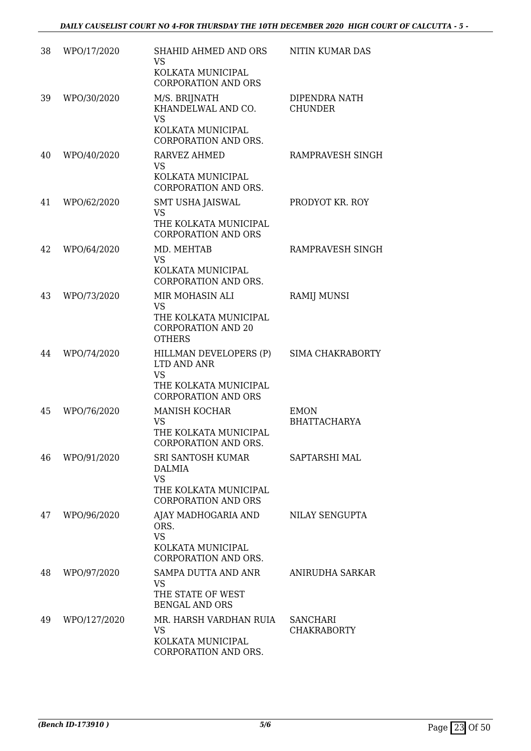| 38 | WPO/17/2020  | SHAHID AHMED AND ORS<br><b>VS</b><br>KOLKATA MUNICIPAL<br><b>CORPORATION AND ORS</b>                      | <b>NITIN KUMAR DAS</b>                |
|----|--------------|-----------------------------------------------------------------------------------------------------------|---------------------------------------|
| 39 | WPO/30/2020  | M/S. BRIJNATH<br>KHANDELWAL AND CO.<br><b>VS</b><br>KOLKATA MUNICIPAL<br>CORPORATION AND ORS.             | DIPENDRA NATH<br><b>CHUNDER</b>       |
| 40 | WPO/40/2020  | RARVEZ AHMED<br><b>VS</b><br>KOLKATA MUNICIPAL<br>CORPORATION AND ORS.                                    | RAMPRAVESH SINGH                      |
| 41 | WPO/62/2020  | <b>SMT USHA JAISWAL</b><br><b>VS</b><br>THE KOLKATA MUNICIPAL<br><b>CORPORATION AND ORS</b>               | PRODYOT KR. ROY                       |
| 42 | WPO/64/2020  | MD. MEHTAB<br><b>VS</b><br>KOLKATA MUNICIPAL<br>CORPORATION AND ORS.                                      | RAMPRAVESH SINGH                      |
| 43 | WPO/73/2020  | MIR MOHASIN ALI<br><b>VS</b><br>THE KOLKATA MUNICIPAL<br><b>CORPORATION AND 20</b><br><b>OTHERS</b>       | <b>RAMIJ MUNSI</b>                    |
| 44 | WPO/74/2020  | HILLMAN DEVELOPERS (P)<br>LTD AND ANR<br><b>VS</b><br>THE KOLKATA MUNICIPAL<br><b>CORPORATION AND ORS</b> | <b>SIMA CHAKRABORTY</b>               |
| 45 | WPO/76/2020  | <b>MANISH KOCHAR</b><br>VS<br>THE KOLKATA MUNICIPAL<br>CORPORATION AND ORS.                               | <b>EMON</b><br><b>BHATTACHARYA</b>    |
| 46 | WPO/91/2020  | SRI SANTOSH KUMAR<br><b>DALMIA</b><br><b>VS</b><br>THE KOLKATA MUNICIPAL<br><b>CORPORATION AND ORS</b>    | SAPTARSHI MAL                         |
| 47 | WPO/96/2020  | AJAY MADHOGARIA AND<br>ORS.<br><b>VS</b><br>KOLKATA MUNICIPAL<br>CORPORATION AND ORS.                     | NILAY SENGUPTA                        |
| 48 | WPO/97/2020  | <b>SAMPA DUTTA AND ANR</b><br><b>VS</b><br>THE STATE OF WEST<br><b>BENGAL AND ORS</b>                     | ANIRUDHA SARKAR                       |
| 49 | WPO/127/2020 | MR. HARSH VARDHAN RUIA<br><b>VS</b><br>KOLKATA MUNICIPAL<br>CORPORATION AND ORS.                          | <b>SANCHARI</b><br><b>CHAKRABORTY</b> |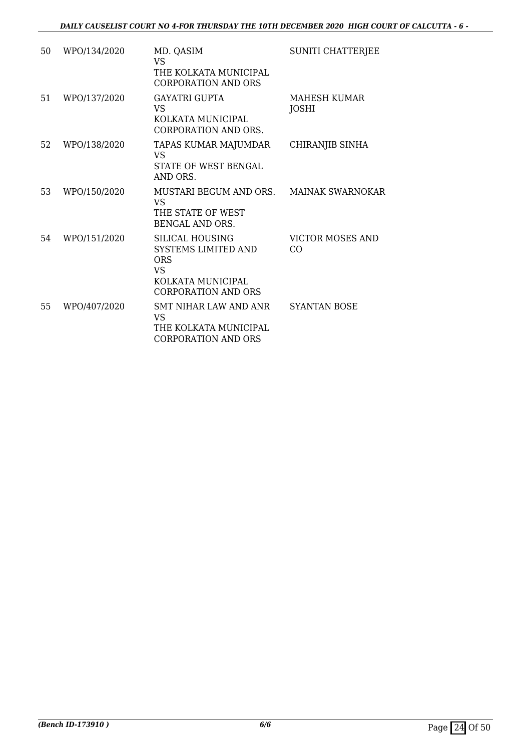| 50 | WPO/134/2020 | MD. QASIM<br>VS <sub>1</sub><br>THE KOLKATA MUNICIPAL<br>CORPORATION AND ORS                                                | <b>SUNITI CHATTERJEE</b>       |
|----|--------------|-----------------------------------------------------------------------------------------------------------------------------|--------------------------------|
| 51 | WPO/137/2020 | <b>GAYATRI GUPTA</b><br>VS<br>KOLKATA MUNICIPAL<br><b>CORPORATION AND ORS.</b>                                              | MAHESH KUMAR<br>JOSHI          |
| 52 | WPO/138/2020 | TAPAS KUMAR MAJUMDAR<br>VS<br><b>STATE OF WEST BENGAL</b><br>AND ORS.                                                       | CHIRANJIB SINHA                |
| 53 | WPO/150/2020 | MUSTARI BEGUM AND ORS.<br><b>VS</b><br>THE STATE OF WEST<br><b>BENGAL AND ORS.</b>                                          | <b>MAINAK SWARNOKAR</b>        |
| 54 | WPO/151/2020 | <b>SILICAL HOUSING</b><br>SYSTEMS LIMITED AND<br><b>ORS</b><br><b>VS</b><br>KOLKATA MUNICIPAL<br><b>CORPORATION AND ORS</b> | <b>VICTOR MOSES AND</b><br>CO. |
| 55 | WPO/407/2020 | SMT NIHAR LAW AND ANR<br><b>VS</b><br>THE KOLKATA MUNICIPAL<br><b>CORPORATION AND ORS</b>                                   | <b>SYANTAN BOSE</b>            |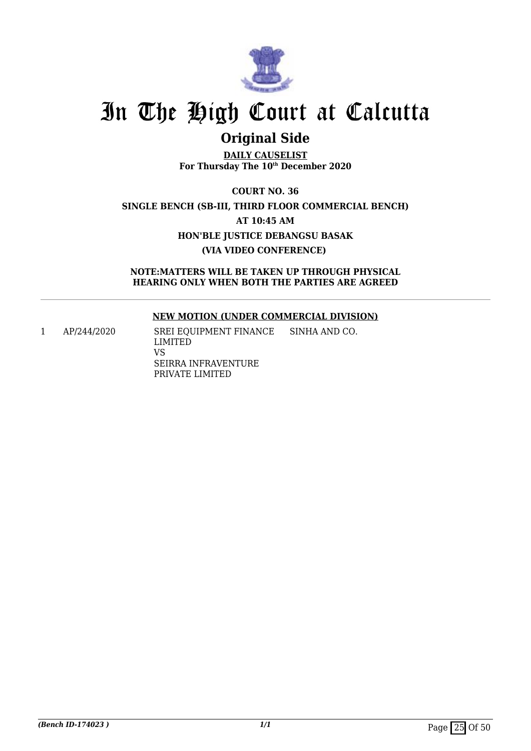

## **Original Side**

**DAILY CAUSELIST For Thursday The 10th December 2020**

**COURT NO. 36 SINGLE BENCH (SB-III, THIRD FLOOR COMMERCIAL BENCH) AT 10:45 AM HON'BLE JUSTICE DEBANGSU BASAK (VIA VIDEO CONFERENCE)** 

**NOTE:MATTERS WILL BE TAKEN UP THROUGH PHYSICAL HEARING ONLY WHEN BOTH THE PARTIES ARE AGREED**

## **NEW MOTION (UNDER COMMERCIAL DIVISION)**

1 AP/244/2020 SREI EQUIPMENT FINANCE LIMITED VS SEIRRA INFRAVENTURE PRIVATE LIMITED SINHA AND CO.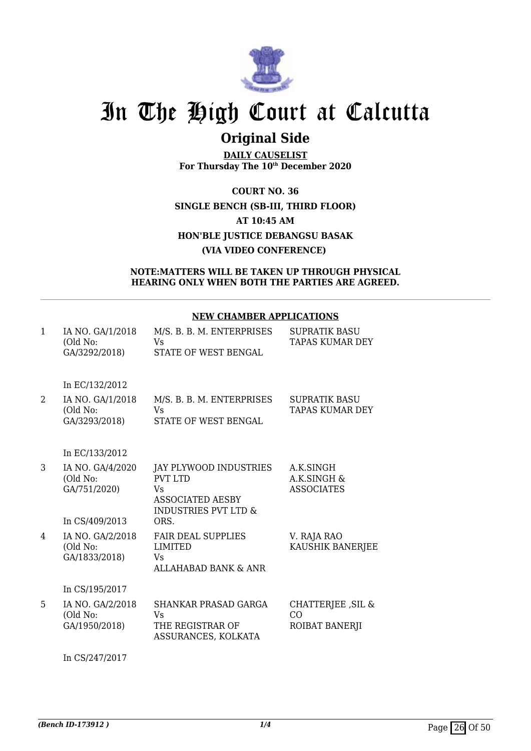

## **Original Side**

**DAILY CAUSELIST For Thursday The 10th December 2020**

**COURT NO. 36 SINGLE BENCH (SB-III, THIRD FLOOR) AT 10:45 AM HON'BLE JUSTICE DEBANGSU BASAK (VIA VIDEO CONFERENCE)** 

## **NOTE:MATTERS WILL BE TAKEN UP THROUGH PHYSICAL HEARING ONLY WHEN BOTH THE PARTIES ARE AGREED.**

## **NEW CHAMBER APPLICATIONS**

| $\mathbf{1}$ | IA NO. GA/1/2018<br>(Old No:<br>GA/3292/2018)                  | M/S. B. B. M. ENTERPRISES<br>Vs<br>STATE OF WEST BENGAL                                                       | <b>SUPRATIK BASU</b><br>TAPAS KUMAR DEY       |
|--------------|----------------------------------------------------------------|---------------------------------------------------------------------------------------------------------------|-----------------------------------------------|
|              | In EC/132/2012                                                 |                                                                                                               |                                               |
| 2            | IA NO. GA/1/2018<br>(Old No:<br>GA/3293/2018)                  | M/S. B. B. M. ENTERPRISES<br>Vs<br>STATE OF WEST BENGAL                                                       | <b>SUPRATIK BASU</b><br>TAPAS KUMAR DEY       |
|              | In EC/133/2012                                                 |                                                                                                               |                                               |
| 3            | IA NO. GA/4/2020<br>(Old No:<br>GA/751/2020)<br>In CS/409/2013 | JAY PLYWOOD INDUSTRIES<br><b>PVT LTD</b><br>Vs<br>ASSOCIATED AESBY<br><b>INDUSTRIES PVT LTD &amp;</b><br>ORS. | A.K.SINGH<br>A.K.SINGH &<br><b>ASSOCIATES</b> |
| 4            | IA NO. GA/2/2018<br>(Old No:<br>GA/1833/2018)                  | <b>FAIR DEAL SUPPLIES</b><br><b>LIMITED</b><br>Vs<br>ALLAHABAD BANK & ANR                                     | V. RAJA RAO<br>KAUSHIK BANERJEE               |
|              | In CS/195/2017                                                 |                                                                                                               |                                               |
| 5            | IA NO. GA/2/2018<br>(Old No:<br>GA/1950/2018)                  | <b>SHANKAR PRASAD GARGA</b><br>Vs<br>THE REGISTRAR OF<br>ASSURANCES, KOLKATA                                  | CHATTERJEE, SIL &<br>CO<br>ROIBAT BANERJI     |

In CS/247/2017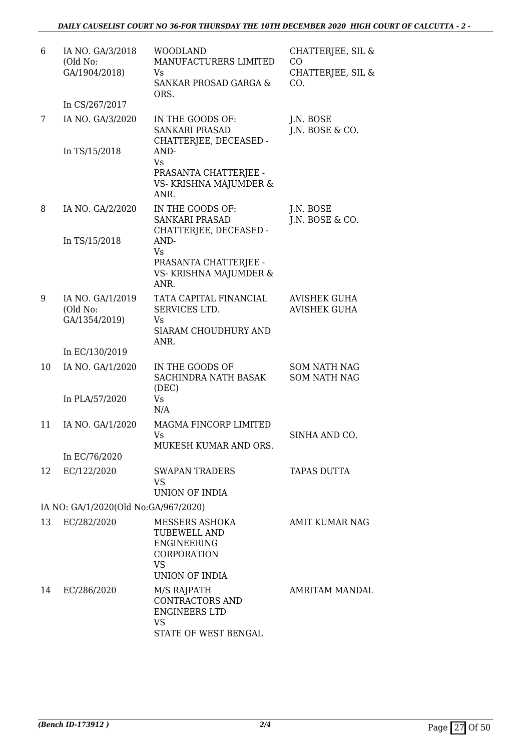| 6  | IA NO. GA/3/2018<br>(Old No:<br>GA/1904/2018)<br>In CS/267/2017 | <b>WOODLAND</b><br>MANUFACTURERS LIMITED<br>Vs<br><b>SANKAR PROSAD GARGA &amp;</b><br>ORS.                              | CHATTERJEE, SIL &<br>CO.<br>CHATTERJEE, SIL &<br>CO. |
|----|-----------------------------------------------------------------|-------------------------------------------------------------------------------------------------------------------------|------------------------------------------------------|
| 7  | IA NO. GA/3/2020<br>In TS/15/2018                               | IN THE GOODS OF:<br><b>SANKARI PRASAD</b><br>CHATTERJEE, DECEASED -<br>AND-                                             | J.N. BOSE<br>J.N. BOSE & CO.                         |
|    |                                                                 | Vs<br>PRASANTA CHATTERJEE -<br>VS- KRISHNA MAJUMDER &<br>ANR.                                                           |                                                      |
| 8  | IA NO. GA/2/2020<br>In TS/15/2018                               | IN THE GOODS OF:<br><b>SANKARI PRASAD</b><br>CHATTERJEE, DECEASED -<br>AND-                                             | J.N. BOSE<br>J.N. BOSE & CO.                         |
|    |                                                                 | <b>Vs</b><br>PRASANTA CHATTERJEE -<br>VS- KRISHNA MAJUMDER &<br>ANR.                                                    |                                                      |
| 9  | IA NO. GA/1/2019<br>(Old No:<br>GA/1354/2019)                   | TATA CAPITAL FINANCIAL<br>SERVICES LTD.<br>Vs<br><b>SIARAM CHOUDHURY AND</b><br>ANR.                                    | <b>AVISHEK GUHA</b><br><b>AVISHEK GUHA</b>           |
|    | In EC/130/2019                                                  |                                                                                                                         |                                                      |
| 10 | IA NO. GA/1/2020<br>In PLA/57/2020                              | IN THE GOODS OF<br><b>SACHINDRA NATH BASAK</b><br>(DEC)<br><b>Vs</b>                                                    | <b>SOM NATH NAG</b><br><b>SOM NATH NAG</b>           |
|    |                                                                 | N/A                                                                                                                     |                                                      |
| 11 | IA NO. GA/1/2020                                                | MAGMA FINCORP LIMITED<br>Vs<br>MUKESH KUMAR AND ORS.                                                                    | SINHA AND CO.                                        |
|    | In EC/76/2020                                                   |                                                                                                                         |                                                      |
| 12 | EC/122/2020                                                     | <b>SWAPAN TRADERS</b><br><b>VS</b><br><b>UNION OF INDIA</b>                                                             | <b>TAPAS DUTTA</b>                                   |
|    | IA NO: GA/1/2020(Old No:GA/967/2020)                            |                                                                                                                         |                                                      |
| 13 | EC/282/2020                                                     | MESSERS ASHOKA<br><b>TUBEWELL AND</b><br><b>ENGINEERING</b><br><b>CORPORATION</b><br><b>VS</b><br><b>UNION OF INDIA</b> | AMIT KUMAR NAG                                       |
| 14 | EC/286/2020                                                     | M/S RAJPATH<br>CONTRACTORS AND<br><b>ENGINEERS LTD</b><br><b>VS</b><br>STATE OF WEST BENGAL                             | AMRITAM MANDAL                                       |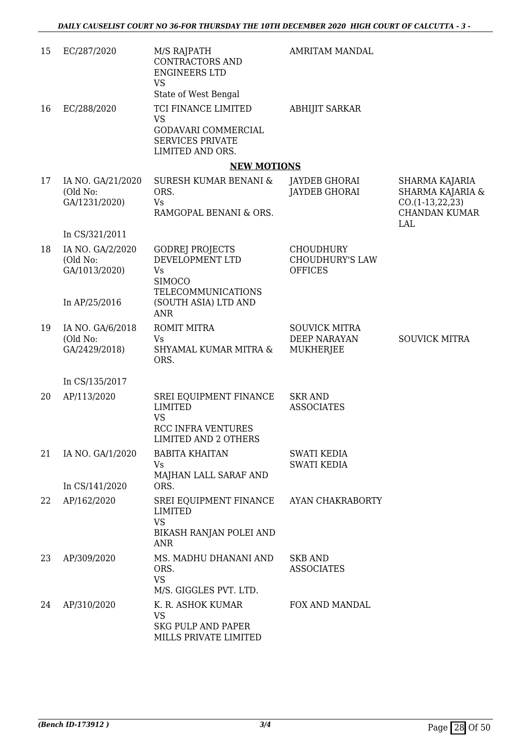| 15 | EC/287/2020                                                     | M/S RAJPATH<br>CONTRACTORS AND<br><b>ENGINEERS LTD</b><br><b>VS</b><br>State of West Bengal                       | <b>AMRITAM MANDAL</b>                                        |                                                                                        |
|----|-----------------------------------------------------------------|-------------------------------------------------------------------------------------------------------------------|--------------------------------------------------------------|----------------------------------------------------------------------------------------|
| 16 | EC/288/2020                                                     | TCI FINANCE LIMITED<br><b>VS</b><br>GODAVARI COMMERCIAL<br><b>SERVICES PRIVATE</b><br>LIMITED AND ORS.            | <b>ABHIJIT SARKAR</b>                                        |                                                                                        |
|    |                                                                 | <b>NEW MOTIONS</b>                                                                                                |                                                              |                                                                                        |
| 17 | IA NO. GA/21/2020<br>(Old No:<br>GA/1231/2020)                  | SURESH KUMAR BENANI &<br>ORS.<br>Vs<br>RAMGOPAL BENANI & ORS.                                                     | JAYDEB GHORAI<br><b>JAYDEB GHORAI</b>                        | SHARMA KAJARIA<br>SHARMA KAJARIA &<br>$CO.(1-13,22,23)$<br><b>CHANDAN KUMAR</b><br>LAL |
| 18 | In CS/321/2011<br>IA NO. GA/2/2020<br>(Old No:<br>GA/1013/2020) | <b>GODREJ PROJECTS</b><br>DEVELOPMENT LTD<br><b>Vs</b><br><b>SIMOCO</b><br><b>TELECOMMUNICATIONS</b>              | <b>CHOUDHURY</b><br><b>CHOUDHURY'S LAW</b><br><b>OFFICES</b> |                                                                                        |
|    | In AP/25/2016                                                   | (SOUTH ASIA) LTD AND<br><b>ANR</b>                                                                                |                                                              |                                                                                        |
| 19 | IA NO. GA/6/2018<br>(Old No:<br>GA/2429/2018)                   | <b>ROMIT MITRA</b><br><b>Vs</b><br>SHYAMAL KUMAR MITRA &<br>ORS.                                                  | <b>SOUVICK MITRA</b><br>DEEP NARAYAN<br>MUKHERJEE            | <b>SOUVICK MITRA</b>                                                                   |
|    | In CS/135/2017                                                  |                                                                                                                   |                                                              |                                                                                        |
| 20 | AP/113/2020                                                     | SREI EQUIPMENT FINANCE<br><b>LIMITED</b><br><b>VS</b><br><b>RCC INFRA VENTURES</b><br><b>LIMITED AND 2 OTHERS</b> | <b>SKR AND</b><br><b>ASSOCIATES</b>                          |                                                                                        |
| 21 | IA NO. GA/1/2020                                                | <b>BABITA KHAITAN</b><br>Vs<br>MAJHAN LALL SARAF AND                                                              | <b>SWATI KEDIA</b><br><b>SWATI KEDIA</b>                     |                                                                                        |
|    | In CS/141/2020                                                  | ORS.                                                                                                              |                                                              |                                                                                        |
| 22 | AP/162/2020                                                     | SREI EQUIPMENT FINANCE<br><b>LIMITED</b><br><b>VS</b><br>BIKASH RANJAN POLEI AND<br>ANR                           | AYAN CHAKRABORTY                                             |                                                                                        |
| 23 | AP/309/2020                                                     | MS. MADHU DHANANI AND<br>ORS.<br><b>VS</b><br>M/S. GIGGLES PVT. LTD.                                              | <b>SKB AND</b><br><b>ASSOCIATES</b>                          |                                                                                        |
| 24 | AP/310/2020                                                     | K. R. ASHOK KUMAR<br><b>VS</b><br><b>SKG PULP AND PAPER</b><br>MILLS PRIVATE LIMITED                              | FOX AND MANDAL                                               |                                                                                        |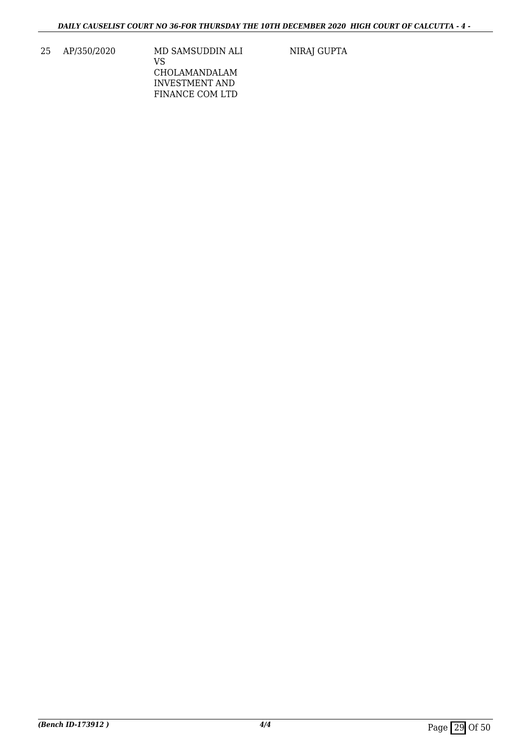25 AP/350/2020 MD SAMSUDDIN ALI VS CHOLAMANDALAM INVESTMENT AND FINANCE COM LTD

NIRAJ GUPTA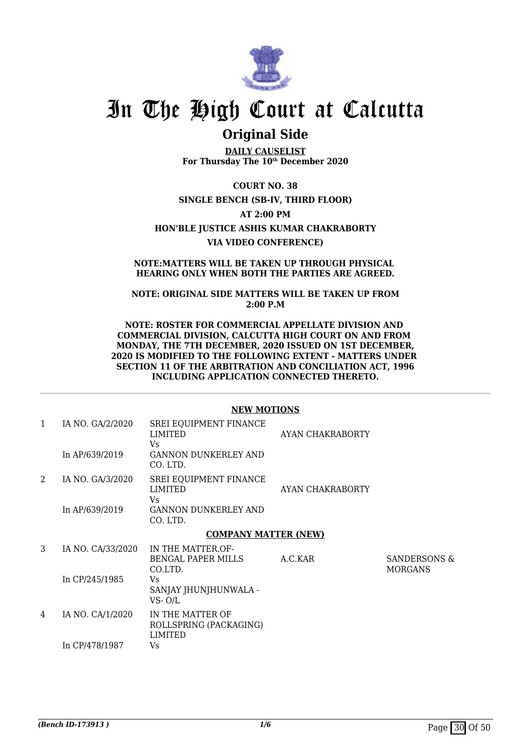

## **Original Side**

**DAILY CAUSELIST For Thursday The 10th December 2020**

**COURT NO. 38 SINGLE BENCH (SB-IV, THIRD FLOOR)**

**AT 2:00 PM**

**HON'BLE JUSTICE ASHIS KUMAR CHAKRABORTY**

**VIA VIDEO CONFERENCE)**

### **NOTE:MATTERS WILL BE TAKEN UP THROUGH PHYSICAL HEARING ONLY WHEN BOTH THE PARTIES ARE AGREED.**

**NOTE: ORIGINAL SIDE MATTERS WILL BE TAKEN UP FROM 2:00 P.M** 

**NOTE: ROSTER FOR COMMERCIAL APPELLATE DIVISION AND COMMERCIAL DIVISION, CALCUTTA HIGH COURT ON AND FROM MONDAY, THE 7TH DECEMBER, 2020 ISSUED ON 1ST DECEMBER, 2020 IS MODIFIED TO THE FOLLOWING EXTENT - MATTERS UNDER SECTION 11 OF THE ARBITRATION AND CONCILIATION ACT, 1996 INCLUDING APPLICATION CONNECTED THERETO.**

|              |                   | NEW MUTIONS                                                  |                  |                                           |
|--------------|-------------------|--------------------------------------------------------------|------------------|-------------------------------------------|
| $\mathbf{1}$ | IA NO. GA/2/2020  | SREI EQUIPMENT FINANCE<br>LIMITED<br>Vs.                     | AYAN CHAKRABORTY |                                           |
|              | In AP/639/2019    | <b>GANNON DUNKERLEY AND</b><br>CO. LTD.                      |                  |                                           |
| 2            | IA NO. GA/3/2020  | <b>SREI EQUIPMENT FINANCE</b><br><b>LIMITED</b><br>Vs.       | AYAN CHAKRABORTY |                                           |
|              | In AP/639/2019    | <b>GANNON DUNKERLEY AND</b><br>CO. LTD.                      |                  |                                           |
|              |                   | <b>COMPANY MATTER (NEW)</b>                                  |                  |                                           |
| 3            | IA NO. CA/33/2020 | IN THE MATTER OF-<br><b>BENGAL PAPER MILLS</b><br>CO.LTD.    | A.C.KAR          | <b>SANDERSONS &amp;</b><br><b>MORGANS</b> |
|              | In CP/245/1985    | Vs<br>SANJAY JHUNJHUNWALA -<br>$VS - O/L$                    |                  |                                           |
| 4            | IA NO. CA/1/2020  | IN THE MATTER OF<br>ROLLSPRING (PACKAGING)<br><b>LIMITED</b> |                  |                                           |
|              | In CP/478/1987    | Vs                                                           |                  |                                           |

## **NEW MOTIONS**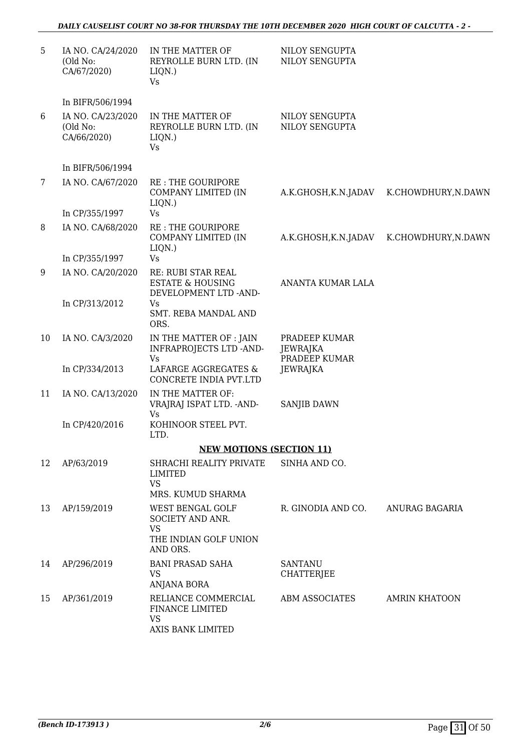| 5. | IA NO. CA/24/2020<br>(Old No:<br>CA/67/2020) | IN THE MATTER OF<br>REYROLLE BURN LTD. (IN<br>LIQN.)<br><b>Vs</b>          | NILOY SENGUPTA<br>NILOY SENGUPTA           |                      |
|----|----------------------------------------------|----------------------------------------------------------------------------|--------------------------------------------|----------------------|
|    | In BIFR/506/1994                             |                                                                            |                                            |                      |
| 6  | IA NO. CA/23/2020<br>(Old No:<br>CA/66/2020) | IN THE MATTER OF<br>REYROLLE BURN LTD. (IN<br>LIQN.)<br>Vs                 | NILOY SENGUPTA<br>NILOY SENGUPTA           |                      |
|    | In BIFR/506/1994                             |                                                                            |                                            |                      |
| 7  | IA NO. CA/67/2020                            | <b>RE: THE GOURIPORE</b><br>COMPANY LIMITED (IN                            | A.K.GHOSH,K.N.JADAV                        | K.CHOWDHURY, N.DAWN  |
|    | In CP/355/1997                               | LIQN.)<br>Vs                                                               |                                            |                      |
| 8  | IA NO. CA/68/2020                            | <b>RE: THE GOURIPORE</b><br>COMPANY LIMITED (IN<br>LIQN.)                  | A.K.GHOSH,K.N.JADAV                        | K.CHOWDHURY, N.DAWN  |
|    | In CP/355/1997                               | <b>Vs</b>                                                                  |                                            |                      |
| 9  | IA NO. CA/20/2020                            | RE: RUBI STAR REAL<br><b>ESTATE &amp; HOUSING</b><br>DEVELOPMENT LTD -AND- | ANANTA KUMAR LALA                          |                      |
|    | In CP/313/2012                               | Vs<br>SMT. REBA MANDAL AND<br>ORS.                                         |                                            |                      |
| 10 | IA NO. CA/3/2020                             | IN THE MATTER OF : JAIN<br><b>INFRAPROJECTS LTD -AND-</b><br>Vs            | PRADEEP KUMAR<br>JEWRAJKA<br>PRADEEP KUMAR |                      |
|    | In CP/334/2013                               | LAFARGE AGGREGATES &<br>CONCRETE INDIA PVT.LTD                             | <b>JEWRAJKA</b>                            |                      |
| 11 | IA NO. CA/13/2020                            | IN THE MATTER OF:<br>VRAJRAJ ISPAT LTD. - AND-<br>Vs                       | <b>SANJIB DAWN</b>                         |                      |
|    | In CP/420/2016                               | KOHINOOR STEEL PVT.<br>LTD.                                                |                                            |                      |
|    |                                              | <b>NEW MOTIONS (SECTION 11)</b>                                            |                                            |                      |
| 12 | AP/63/2019                                   | SHRACHI REALITY PRIVATE<br><b>LIMITED</b><br><b>VS</b>                     | SINHA AND CO.                              |                      |
|    |                                              | MRS. KUMUD SHARMA                                                          |                                            |                      |
| 13 | AP/159/2019                                  | WEST BENGAL GOLF<br>SOCIETY AND ANR.<br><b>VS</b><br>THE INDIAN GOLF UNION | R. GINODIA AND CO.                         | ANURAG BAGARIA       |
|    |                                              | AND ORS.                                                                   |                                            |                      |
| 14 | AP/296/2019                                  | <b>BANI PRASAD SAHA</b><br><b>VS</b><br><b>ANJANA BORA</b>                 | <b>SANTANU</b><br><b>CHATTERJEE</b>        |                      |
| 15 | AP/361/2019                                  | RELIANCE COMMERCIAL<br>FINANCE LIMITED<br><b>VS</b><br>AXIS BANK LIMITED   | <b>ABM ASSOCIATES</b>                      | <b>AMRIN KHATOON</b> |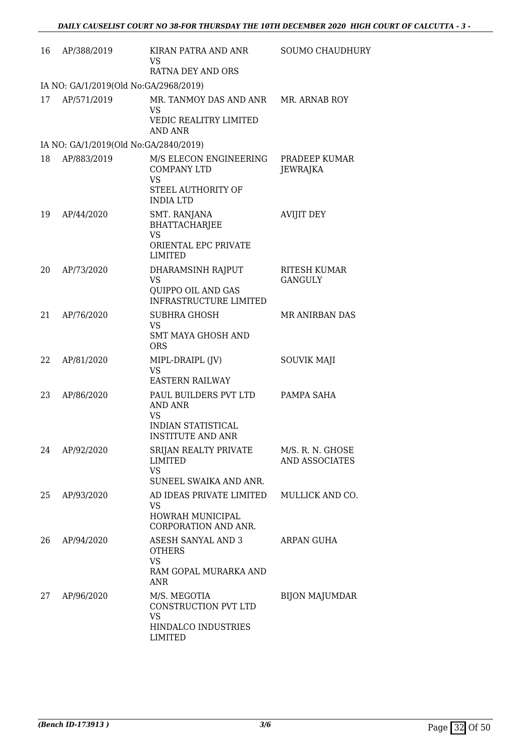| 16 | AP/388/2019                            | KIRAN PATRA AND ANR<br>VS<br>RATNA DEY AND ORS                                                         | <b>SOUMO CHAUDHURY</b>                    |
|----|----------------------------------------|--------------------------------------------------------------------------------------------------------|-------------------------------------------|
|    | IA NO: GA/1/2019(Old No:GA/2968/2019)  |                                                                                                        |                                           |
| 17 | AP/571/2019                            | MR. TANMOY DAS AND ANR MR. ARNAB ROY<br><b>VS</b><br>VEDIC REALITRY LIMITED<br>AND ANR                 |                                           |
|    | IA NO: GA/1/2019(Old No: GA/2840/2019) |                                                                                                        |                                           |
| 18 | AP/883/2019                            | M/S ELECON ENGINEERING<br><b>COMPANY LTD</b><br><b>VS</b><br>STEEL AUTHORITY OF<br><b>INDIA LTD</b>    | PRADEEP KUMAR<br><b>JEWRAJKA</b>          |
| 19 | AP/44/2020                             | SMT. RANJANA<br><b>BHATTACHARJEE</b><br>VS<br>ORIENTAL EPC PRIVATE<br>LIMITED                          | <b>AVIJIT DEY</b>                         |
| 20 | AP/73/2020                             | DHARAMSINH RAJPUT<br>VS<br>QUIPPO OIL AND GAS<br><b>INFRASTRUCTURE LIMITED</b>                         | <b>RITESH KUMAR</b><br><b>GANGULY</b>     |
| 21 | AP/76/2020                             | <b>SUBHRA GHOSH</b><br><b>VS</b><br><b>SMT MAYA GHOSH AND</b><br><b>ORS</b>                            | <b>MR ANIRBAN DAS</b>                     |
| 22 | AP/81/2020                             | MIPL-DRAIPL (JV)<br>VS<br><b>EASTERN RAILWAY</b>                                                       | SOUVIK MAJI                               |
| 23 | AP/86/2020                             | PAUL BUILDERS PVT LTD<br><b>AND ANR</b><br>VS<br><b>INDIAN STATISTICAL</b><br><b>INSTITUTE AND ANR</b> | PAMPA SAHA                                |
| 24 | AP/92/2020                             | SRIJAN REALTY PRIVATE<br><b>LIMITED</b><br><b>VS</b><br>SUNEEL SWAIKA AND ANR.                         | M/S. R. N. GHOSE<br><b>AND ASSOCIATES</b> |
| 25 | AP/93/2020                             | AD IDEAS PRIVATE LIMITED<br>VS.<br>HOWRAH MUNICIPAL<br>CORPORATION AND ANR.                            | MULLICK AND CO.                           |
| 26 | AP/94/2020                             | ASESH SANYAL AND 3<br><b>OTHERS</b><br><b>VS</b><br>RAM GOPAL MURARKA AND<br>ANR                       | ARPAN GUHA                                |
| 27 | AP/96/2020                             | M/S. MEGOTIA<br>CONSTRUCTION PVT LTD<br>VS<br>HINDALCO INDUSTRIES<br>LIMITED                           | <b>BIJON MAJUMDAR</b>                     |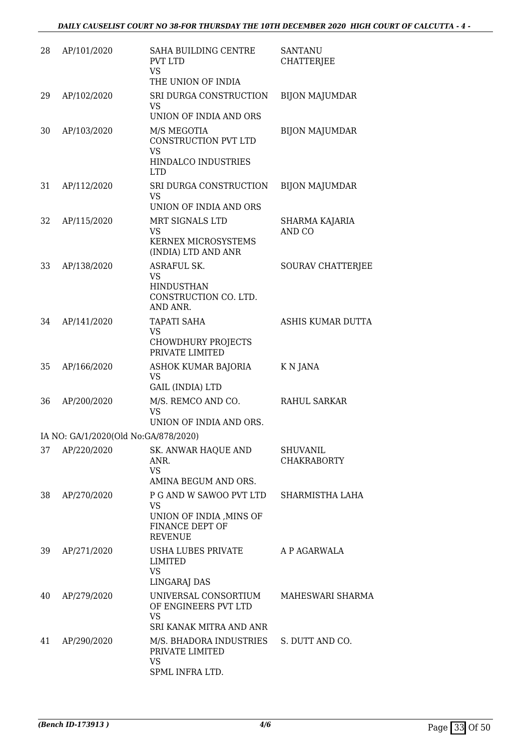| 28 | AP/101/2020                          | <b>SAHA BUILDING CENTRE</b><br><b>PVT LTD</b><br><b>VS</b><br>THE UNION OF INDIA                     | <b>SANTANU</b><br><b>CHATTERJEE</b> |
|----|--------------------------------------|------------------------------------------------------------------------------------------------------|-------------------------------------|
| 29 | AP/102/2020                          | SRI DURGA CONSTRUCTION<br><b>VS</b><br>UNION OF INDIA AND ORS                                        | <b>BIJON MAJUMDAR</b>               |
| 30 | AP/103/2020                          | M/S MEGOTIA<br>CONSTRUCTION PVT LTD<br><b>VS</b><br>HINDALCO INDUSTRIES<br><b>LTD</b>                | <b>BIJON MAJUMDAR</b>               |
| 31 | AP/112/2020                          | SRI DURGA CONSTRUCTION<br><b>VS</b><br>UNION OF INDIA AND ORS                                        | <b>BIJON MAJUMDAR</b>               |
| 32 | AP/115/2020                          | MRT SIGNALS LTD<br>VS<br>KERNEX MICROSYSTEMS<br>(INDIA) LTD AND ANR                                  | SHARMA KAJARIA<br>AND CO            |
| 33 | AP/138/2020                          | ASRAFUL SK.<br><b>VS</b><br><b>HINDUSTHAN</b><br>CONSTRUCTION CO. LTD.<br>AND ANR.                   | SOURAV CHATTERJEE                   |
| 34 | AP/141/2020                          | <b>TAPATI SAHA</b><br><b>VS</b><br><b>CHOWDHURY PROJECTS</b><br>PRIVATE LIMITED                      | ASHIS KUMAR DUTTA                   |
| 35 | AP/166/2020                          | ASHOK KUMAR BAJORIA<br><b>VS</b><br><b>GAIL (INDIA) LTD</b>                                          | K N JANA                            |
| 36 | AP/200/2020                          | M/S. REMCO AND CO.<br><b>VS</b><br>UNION OF INDIA AND ORS.                                           | <b>RAHUL SARKAR</b>                 |
|    | IA NO: GA/1/2020(Old No:GA/878/2020) |                                                                                                      |                                     |
| 37 | AP/220/2020                          | <b>SK. ANWAR HAQUE AND</b><br>ANR.<br><b>VS</b><br>AMINA BEGUM AND ORS.                              | SHUVANIL<br><b>CHAKRABORTY</b>      |
| 38 | AP/270/2020                          | P G AND W SAWOO PVT LTD<br><b>VS</b><br>UNION OF INDIA, MINS OF<br>FINANCE DEPT OF<br><b>REVENUE</b> | SHARMISTHA LAHA                     |
| 39 | AP/271/2020                          | USHA LUBES PRIVATE<br>LIMITED<br><b>VS</b><br>LINGARAJ DAS                                           | A P AGARWALA                        |
| 40 | AP/279/2020                          | UNIVERSAL CONSORTIUM<br>OF ENGINEERS PVT LTD<br><b>VS</b><br>SRI KANAK MITRA AND ANR                 | MAHESWARI SHARMA                    |
| 41 | AP/290/2020                          | M/S. BHADORA INDUSTRIES<br>PRIVATE LIMITED<br><b>VS</b><br>SPML INFRA LTD.                           | S. DUTT AND CO.                     |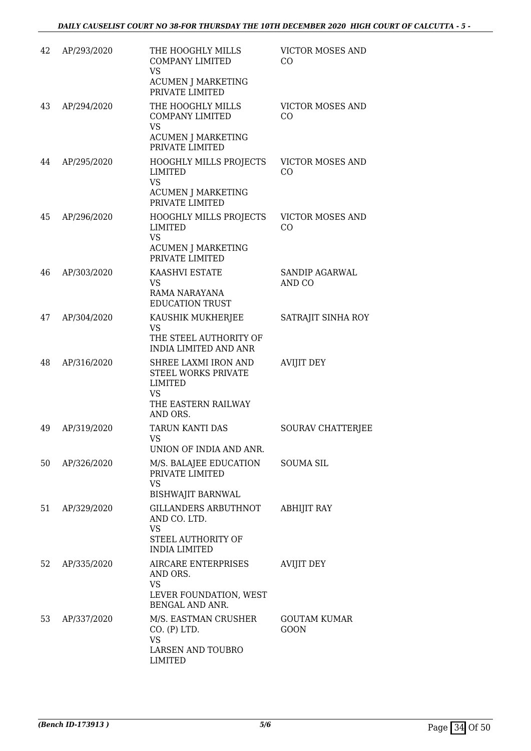| 42 | AP/293/2020 | THE HOOGHLY MILLS<br><b>COMPANY LIMITED</b><br>VS<br><b>ACUMEN J MARKETING</b><br>PRIVATE LIMITED | <b>VICTOR MOSES AND</b><br>CO      |
|----|-------------|---------------------------------------------------------------------------------------------------|------------------------------------|
| 43 | AP/294/2020 | THE HOOGHLY MILLS<br><b>COMPANY LIMITED</b><br>VS<br><b>ACUMEN J MARKETING</b><br>PRIVATE LIMITED | <b>VICTOR MOSES AND</b><br>CO      |
| 44 | AP/295/2020 | <b>HOOGHLY MILLS PROJECTS</b><br>LIMITED<br>VS<br><b>ACUMEN J MARKETING</b><br>PRIVATE LIMITED    | <b>VICTOR MOSES AND</b><br>CO      |
| 45 | AP/296/2020 | HOOGHLY MILLS PROJECTS<br>LIMITED<br><b>VS</b><br><b>ACUMEN J MARKETING</b><br>PRIVATE LIMITED    | <b>VICTOR MOSES AND</b><br>CO      |
| 46 | AP/303/2020 | KAASHVI ESTATE<br>VS<br>RAMA NARAYANA<br><b>EDUCATION TRUST</b>                                   | SANDIP AGARWAL<br>AND CO           |
| 47 | AP/304/2020 | KAUSHIK MUKHERJEE<br>VS<br>THE STEEL AUTHORITY OF<br><b>INDIA LIMITED AND ANR</b>                 | SATRAJIT SINHA ROY                 |
| 48 | AP/316/2020 | SHREE LAXMI IRON AND<br>STEEL WORKS PRIVATE<br>LIMITED<br>VS<br>THE EASTERN RAILWAY<br>AND ORS.   | <b>AVIJIT DEY</b>                  |
| 49 | AP/319/2020 | <b>TARUN KANTI DAS</b><br>VS.<br>UNION OF INDIA AND ANR.                                          | SOURAV CHATTERJEE                  |
| 50 | AP/326/2020 | M/S. BALAJEE EDUCATION<br>PRIVATE LIMITED<br>VS<br><b>BISHWAJIT BARNWAL</b>                       | <b>SOUMA SIL</b>                   |
| 51 | AP/329/2020 | GILLANDERS ARBUTHNOT<br>AND CO. LTD.<br>VS<br>STEEL AUTHORITY OF<br><b>INDIA LIMITED</b>          | <b>ABHIJIT RAY</b>                 |
| 52 | AP/335/2020 | AIRCARE ENTERPRISES<br>AND ORS.<br>VS<br>LEVER FOUNDATION, WEST<br>BENGAL AND ANR.                | <b>AVIJIT DEY</b>                  |
| 53 | AP/337/2020 | M/S. EASTMAN CRUSHER<br>CO. (P) LTD.<br>VS<br>LARSEN AND TOUBRO<br>LIMITED                        | <b>GOUTAM KUMAR</b><br><b>GOON</b> |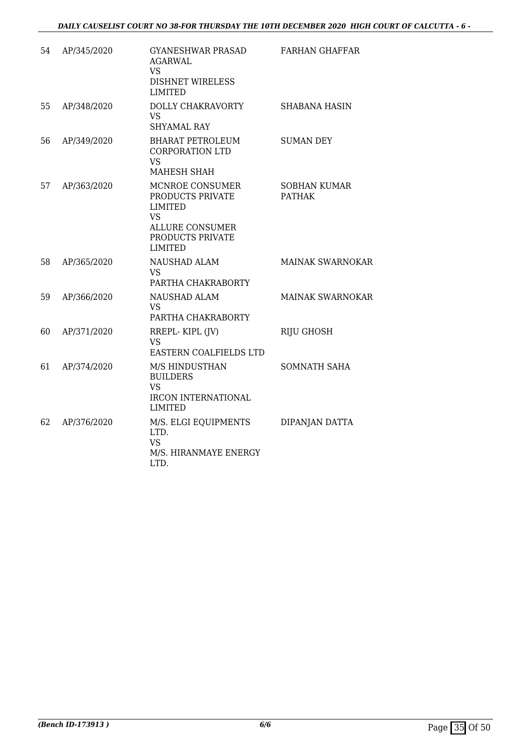| 54 | AP/345/2020 | <b>GYANESHWAR PRASAD</b><br><b>AGARWAL</b><br><b>VS</b><br><b>DISHNET WIRELESS</b><br><b>LIMITED</b>                               | <b>FARHAN GHAFFAR</b>                |
|----|-------------|------------------------------------------------------------------------------------------------------------------------------------|--------------------------------------|
| 55 | AP/348/2020 | DOLLY CHAKRAVORTY<br><b>VS</b><br><b>SHYAMAL RAY</b>                                                                               | <b>SHABANA HASIN</b>                 |
| 56 | AP/349/2020 | <b>BHARAT PETROLEUM</b><br><b>CORPORATION LTD</b><br><b>VS</b><br>MAHESH SHAH                                                      | <b>SUMAN DEY</b>                     |
| 57 | AP/363/2020 | MCNROE CONSUMER<br>PRODUCTS PRIVATE<br><b>LIMITED</b><br><b>VS</b><br><b>ALLURE CONSUMER</b><br>PRODUCTS PRIVATE<br><b>LIMITED</b> | <b>SOBHAN KUMAR</b><br><b>PATHAK</b> |
| 58 | AP/365/2020 | <b>NAUSHAD ALAM</b><br>VS<br>PARTHA CHAKRABORTY                                                                                    | <b>MAINAK SWARNOKAR</b>              |
| 59 | AP/366/2020 | <b>NAUSHAD ALAM</b><br>VS.<br>PARTHA CHAKRABORTY                                                                                   | <b>MAINAK SWARNOKAR</b>              |
| 60 | AP/371/2020 | RREPL-KIPL (JV)<br><b>VS</b><br>EASTERN COALFIELDS LTD                                                                             | <b>RIJU GHOSH</b>                    |
| 61 | AP/374/2020 | M/S HINDUSTHAN<br><b>BUILDERS</b><br>VS<br><b>IRCON INTERNATIONAL</b><br><b>LIMITED</b>                                            | <b>SOMNATH SAHA</b>                  |
| 62 | AP/376/2020 | M/S. ELGI EQUIPMENTS<br>LTD.<br>VS<br>M/S. HIRANMAYE ENERGY<br>LTD.                                                                | DIPANJAN DATTA                       |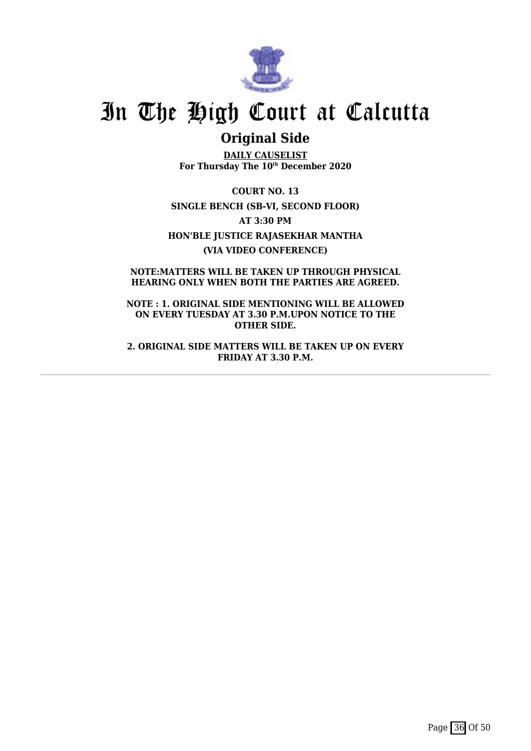

## **Original Side**

**DAILY CAUSELIST For Thursday The 10th December 2020**

**COURT NO. 13 SINGLE BENCH (SB-VI, SECOND FLOOR) AT 3:30 PM HON'BLE JUSTICE RAJASEKHAR MANTHA (VIA VIDEO CONFERENCE)**

**NOTE:MATTERS WILL BE TAKEN UP THROUGH PHYSICAL HEARING ONLY WHEN BOTH THE PARTIES ARE AGREED.**

**NOTE : 1. ORIGINAL SIDE MENTIONING WILL BE ALLOWED ON EVERY TUESDAY AT 3.30 P.M.UPON NOTICE TO THE OTHER SIDE.**

**2. ORIGINAL SIDE MATTERS WILL BE TAKEN UP ON EVERY FRIDAY AT 3.30 P.M.**

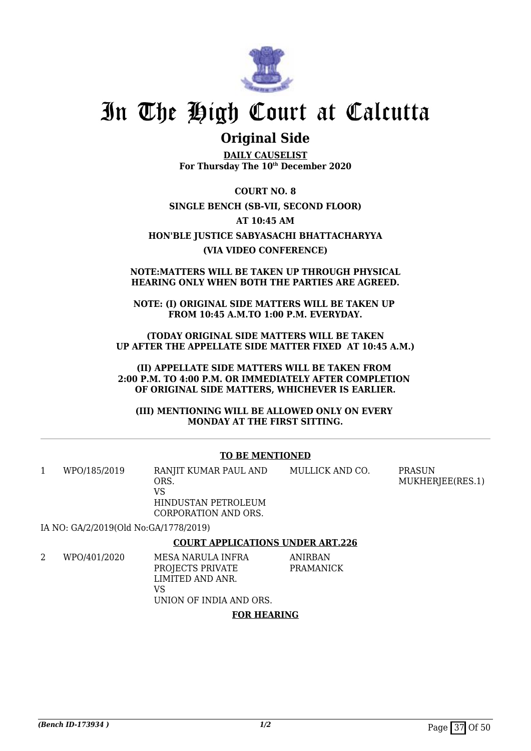

## **Original Side**

**DAILY CAUSELIST For Thursday The 10th December 2020**

**COURT NO. 8 SINGLE BENCH (SB-VII, SECOND FLOOR) AT 10:45 AM HON'BLE JUSTICE SABYASACHI BHATTACHARYYA (VIA VIDEO CONFERENCE)**

### **NOTE:MATTERS WILL BE TAKEN UP THROUGH PHYSICAL HEARING ONLY WHEN BOTH THE PARTIES ARE AGREED.**

**NOTE: (I) ORIGINAL SIDE MATTERS WILL BE TAKEN UP FROM 10:45 A.M.TO 1:00 P.M. EVERYDAY.**

**(TODAY ORIGINAL SIDE MATTERS WILL BE TAKEN UP AFTER THE APPELLATE SIDE MATTER FIXED AT 10:45 A.M.)**

**(II) APPELLATE SIDE MATTERS WILL BE TAKEN FROM 2:00 P.M. TO 4:00 P.M. OR IMMEDIATELY AFTER COMPLETION OF ORIGINAL SIDE MATTERS, WHICHEVER IS EARLIER.**

**(III) MENTIONING WILL BE ALLOWED ONLY ON EVERY MONDAY AT THE FIRST SITTING.**

## **TO BE MENTIONED**

1 WPO/185/2019 RANJIT KUMAR PAUL AND ORS. VS HINDUSTAN PETROLEUM CORPORATION AND ORS. MULLICK AND CO. PRASUN MUKHERJEE(RES.1)

IA NO: GA/2/2019(Old No:GA/1778/2019)

### **COURT APPLICATIONS UNDER ART.226**

2 WPO/401/2020 MESA NARULA INFRA PROJECTS PRIVATE LIMITED AND ANR. VS UNION OF INDIA AND ORS. ANIRBAN PRAMANICK

### **FOR HEARING**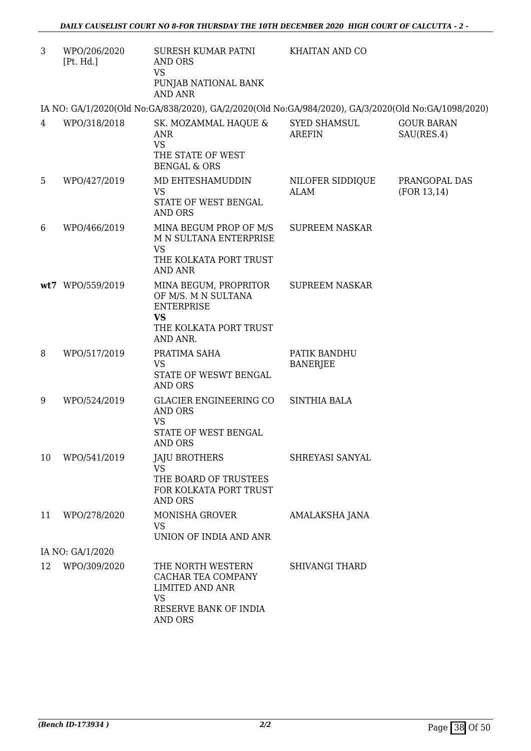| 3  | WPO/206/2020<br>[Pt. Hd.] | SURESH KUMAR PATNI<br>AND ORS<br><b>VS</b><br>PUNJAB NATIONAL BANK                                                          | KHAITAN AND CO                  |                               |
|----|---------------------------|-----------------------------------------------------------------------------------------------------------------------------|---------------------------------|-------------------------------|
|    |                           | <b>AND ANR</b>                                                                                                              |                                 |                               |
| 4  | WPO/318/2018              | IA NO: GA/1/2020(Old No:GA/838/2020), GA/2/2020(Old No:GA/984/2020), GA/3/2020(Old No:GA/1098/2020)<br>SK. MOZAMMAL HAQUE & | <b>SYED SHAMSUL</b>             | <b>GOUR BARAN</b>             |
|    |                           | <b>ANR</b><br><b>VS</b><br>THE STATE OF WEST<br><b>BENGAL &amp; ORS</b>                                                     | <b>AREFIN</b>                   | SAU(RES.4)                    |
| 5  | WPO/427/2019              | MD EHTESHAMUDDIN<br><b>VS</b><br>STATE OF WEST BENGAL<br><b>AND ORS</b>                                                     | NILOFER SIDDIQUE<br>ALAM        | PRANGOPAL DAS<br>(FOR 13, 14) |
| 6  | WPO/466/2019              | MINA BEGUM PROP OF M/S<br>M N SULTANA ENTERPRISE<br><b>VS</b><br>THE KOLKATA PORT TRUST<br><b>AND ANR</b>                   | <b>SUPREEM NASKAR</b>           |                               |
|    | wt7 WPO/559/2019          | MINA BEGUM, PROPRITOR<br>OF M/S. M N SULTANA<br><b>ENTERPRISE</b><br><b>VS</b><br>THE KOLKATA PORT TRUST<br>AND ANR.        | <b>SUPREEM NASKAR</b>           |                               |
| 8  | WPO/517/2019              | PRATIMA SAHA<br><b>VS</b><br>STATE OF WESWT BENGAL<br><b>AND ORS</b>                                                        | PATIK BANDHU<br><b>BANERJEE</b> |                               |
| 9  | WPO/524/2019              | GLACIER ENGINEERING CO<br><b>AND ORS</b><br><b>VS</b><br>STATE OF WEST BENGAL<br><b>AND ORS</b>                             | <b>SINTHIA BALA</b>             |                               |
| 10 | WPO/541/2019              | <b>JAJU BROTHERS</b><br><b>VS</b><br>THE BOARD OF TRUSTEES<br>FOR KOLKATA PORT TRUST<br><b>AND ORS</b>                      | SHREYASI SANYAL                 |                               |
| 11 | WPO/278/2020              | <b>MONISHA GROVER</b><br><b>VS</b><br>UNION OF INDIA AND ANR                                                                | AMALAKSHA JANA                  |                               |
|    | IA NO: GA/1/2020          |                                                                                                                             |                                 |                               |
| 12 | WPO/309/2020              | THE NORTH WESTERN<br>CACHAR TEA COMPANY<br><b>LIMITED AND ANR</b><br><b>VS</b><br>RESERVE BANK OF INDIA<br><b>AND ORS</b>   | <b>SHIVANGI THARD</b>           |                               |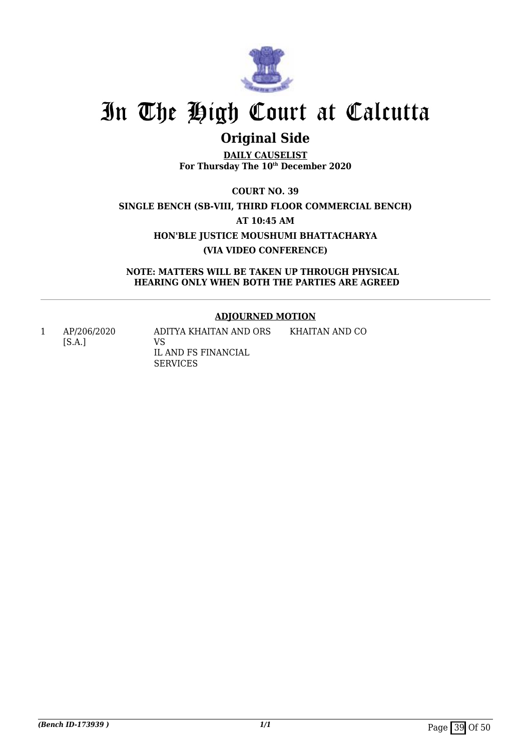

## **Original Side**

**DAILY CAUSELIST For Thursday The 10th December 2020**

**COURT NO. 39 SINGLE BENCH (SB-VIII, THIRD FLOOR COMMERCIAL BENCH) AT 10:45 AM HON'BLE JUSTICE MOUSHUMI BHATTACHARYA (VIA VIDEO CONFERENCE)**

**NOTE: MATTERS WILL BE TAKEN UP THROUGH PHYSICAL HEARING ONLY WHEN BOTH THE PARTIES ARE AGREED**

## **ADJOURNED MOTION**

1 AP/206/2020 [S.A.]

ADITYA KHAITAN AND ORS VS IL AND FS FINANCIAL SERVICES KHAITAN AND CO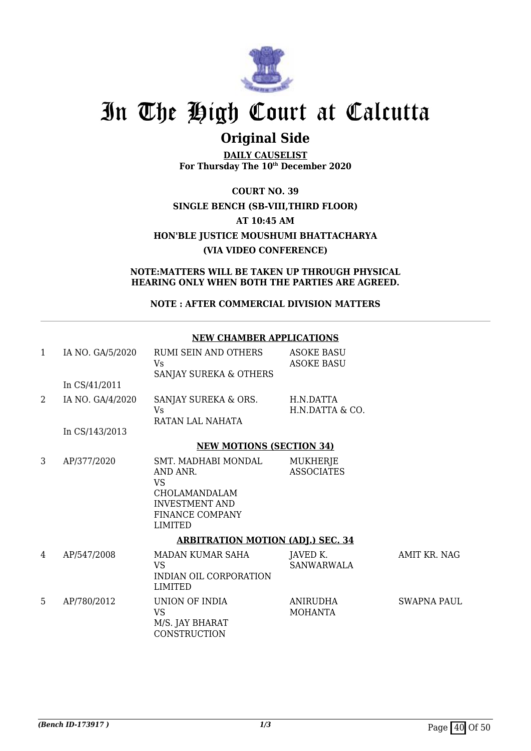

## **Original Side**

**DAILY CAUSELIST For Thursday The 10th December 2020**

**COURT NO. 39 SINGLE BENCH (SB-VIII,THIRD FLOOR) AT 10:45 AM HON'BLE JUSTICE MOUSHUMI BHATTACHARYA (VIA VIDEO CONFERENCE)**

**NOTE:MATTERS WILL BE TAKEN UP THROUGH PHYSICAL HEARING ONLY WHEN BOTH THE PARTIES ARE AGREED.**

**NOTE : AFTER COMMERCIAL DIVISION MATTERS**

## **NEW CHAMBER APPLICATIONS**

| $\mathbf{1}$   | IA NO. GA/5/2020 | RUMI SEIN AND OTHERS<br>Vs.<br>SANJAY SUREKA & OTHERS                                                                              | <b>ASOKE BASU</b><br><b>ASOKE BASU</b> |                    |
|----------------|------------------|------------------------------------------------------------------------------------------------------------------------------------|----------------------------------------|--------------------|
|                | In CS/41/2011    |                                                                                                                                    |                                        |                    |
| $\overline{2}$ | IA NO. GA/4/2020 | SANJAY SUREKA & ORS.<br>Vs.<br>RATAN LAL NAHATA                                                                                    | H.N.DATTA<br>H.N.DATTA & CO.           |                    |
|                | In CS/143/2013   |                                                                                                                                    |                                        |                    |
|                |                  | <b>NEW MOTIONS (SECTION 34)</b>                                                                                                    |                                        |                    |
| 3              | AP/377/2020      | SMT. MADHABI MONDAL<br>AND ANR.<br><b>VS</b><br>CHOLAMANDALAM<br><b>INVESTMENT AND</b><br><b>FINANCE COMPANY</b><br><b>LIMITED</b> | MUKHERJE<br><b>ASSOCIATES</b>          |                    |
|                |                  | <b>ARBITRATION MOTION (ADJ.) SEC. 34</b>                                                                                           |                                        |                    |
| 4              | AP/547/2008      | MADAN KUMAR SAHA<br>VS.<br>INDIAN OIL CORPORATION<br><b>LIMITED</b>                                                                | JAVED K.<br><b>SANWARWALA</b>          | AMIT KR. NAG       |
| 5              | AP/780/2012      | UNION OF INDIA<br><b>VS</b><br>M/S. JAY BHARAT<br>CONSTRUCTION                                                                     | <b>ANIRUDHA</b><br><b>MOHANTA</b>      | <b>SWAPNA PAUL</b> |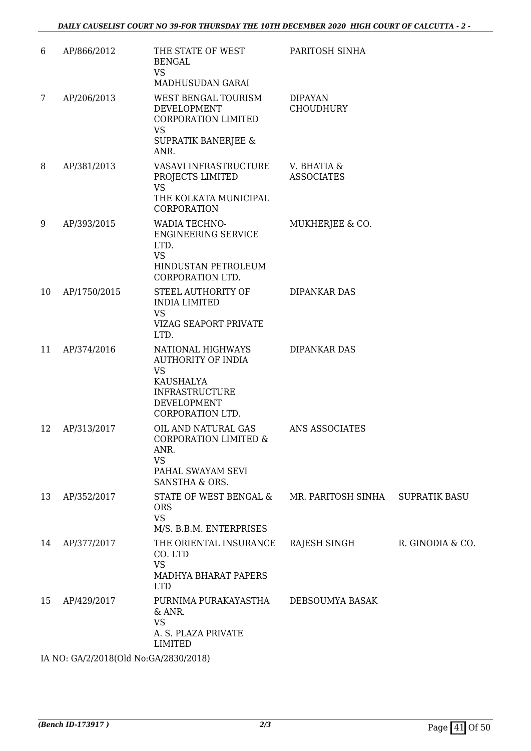| 6  | AP/866/2012  | THE STATE OF WEST<br><b>BENGAL</b><br><b>VS</b><br>MADHUSUDAN GARAI                                                                  | PARITOSH SINHA                     |                      |
|----|--------------|--------------------------------------------------------------------------------------------------------------------------------------|------------------------------------|----------------------|
| 7  | AP/206/2013  | WEST BENGAL TOURISM<br>DEVELOPMENT<br>CORPORATION LIMITED<br><b>VS</b>                                                               | <b>DIPAYAN</b><br><b>CHOUDHURY</b> |                      |
|    |              | <b>SUPRATIK BANERJEE &amp;</b><br>ANR.                                                                                               |                                    |                      |
| 8  | AP/381/2013  | VASAVI INFRASTRUCTURE<br>PROJECTS LIMITED<br><b>VS</b><br>THE KOLKATA MUNICIPAL<br>CORPORATION                                       | V. BHATIA &<br><b>ASSOCIATES</b>   |                      |
| 9  | AP/393/2015  | WADIA TECHNO-<br><b>ENGINEERING SERVICE</b><br>LTD.<br><b>VS</b><br>HINDUSTAN PETROLEUM                                              | MUKHERJEE & CO.                    |                      |
| 10 | AP/1750/2015 | CORPORATION LTD.<br>STEEL AUTHORITY OF<br><b>INDIA LIMITED</b><br><b>VS</b><br><b>VIZAG SEAPORT PRIVATE</b><br>LTD.                  | <b>DIPANKAR DAS</b>                |                      |
| 11 | AP/374/2016  | NATIONAL HIGHWAYS<br><b>AUTHORITY OF INDIA</b><br><b>VS</b><br>KAUSHALYA<br><b>INFRASTRUCTURE</b><br>DEVELOPMENT<br>CORPORATION LTD. | DIPANKAR DAS                       |                      |
| 12 | AP/313/2017  | OIL AND NATURAL GAS<br>CORPORATION LIMITED &<br>ANR.<br><b>VS</b><br>PAHAL SWAYAM SEVI<br>SANSTHA & ORS.                             | ANS ASSOCIATES                     |                      |
| 13 | AP/352/2017  | STATE OF WEST BENGAL &<br><b>ORS</b><br><b>VS</b><br>M/S. B.B.M. ENTERPRISES                                                         | MR. PARITOSH SINHA                 | <b>SUPRATIK BASU</b> |
| 14 | AP/377/2017  | THE ORIENTAL INSURANCE<br>CO. LTD<br><b>VS</b><br>MADHYA BHARAT PAPERS<br><b>LTD</b>                                                 | RAJESH SINGH                       | R. GINODIA & CO.     |
| 15 | AP/429/2017  | PURNIMA PURAKAYASTHA<br>& ANR.<br><b>VS</b><br>A. S. PLAZA PRIVATE<br><b>LIMITED</b>                                                 | DEBSOUMYA BASAK                    |                      |

IA NO: GA/2/2018(Old No:GA/2830/2018)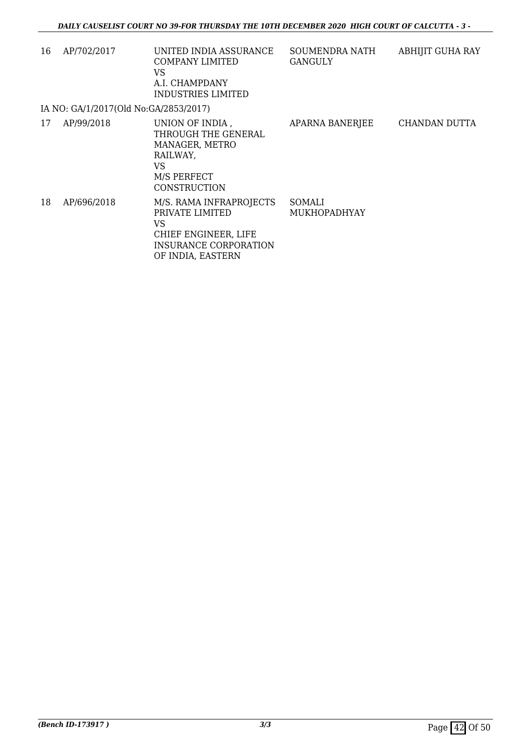| 16 | AP/702/2017                           | UNITED INDIA ASSURANCE<br>COMPANY LIMITED<br>VS<br>A.I. CHAMPDANY<br><b>INDUSTRIES LIMITED</b>                                | SOUMENDRA NATH<br>GANGULY            | <b>ABHIJIT GUHA RAY</b> |
|----|---------------------------------------|-------------------------------------------------------------------------------------------------------------------------------|--------------------------------------|-------------------------|
|    | IA NO: GA/1/2017(Old No:GA/2853/2017) |                                                                                                                               |                                      |                         |
| 17 | AP/99/2018                            | UNION OF INDIA,<br>THROUGH THE GENERAL<br>MANAGER, METRO<br>RAILWAY.<br>VS<br>M/S PERFECT<br>CONSTRUCTION                     | APARNA BANERJEE                      | CHANDAN DUTTA           |
| 18 | AP/696/2018                           | M/S. RAMA INFRAPROJECTS<br>PRIVATE LIMITED<br>VS<br>CHIEF ENGINEER, LIFE<br><b>INSURANCE CORPORATION</b><br>OF INDIA, EASTERN | <b>SOMALI</b><br><b>MUKHOPADHYAY</b> |                         |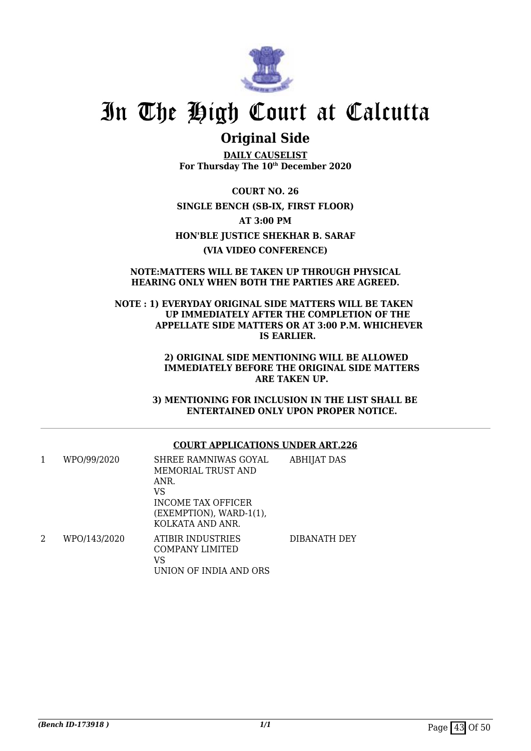

## **Original Side**

**DAILY CAUSELIST For Thursday The 10th December 2020**

**COURT NO. 26 SINGLE BENCH (SB-IX, FIRST FLOOR) AT 3:00 PM HON'BLE JUSTICE SHEKHAR B. SARAF (VIA VIDEO CONFERENCE)**

### **NOTE:MATTERS WILL BE TAKEN UP THROUGH PHYSICAL HEARING ONLY WHEN BOTH THE PARTIES ARE AGREED.**

### **NOTE : 1) EVERYDAY ORIGINAL SIDE MATTERS WILL BE TAKEN UP IMMEDIATELY AFTER THE COMPLETION OF THE APPELLATE SIDE MATTERS OR AT 3:00 P.M. WHICHEVER IS EARLIER.**

 **2) ORIGINAL SIDE MENTIONING WILL BE ALLOWED IMMEDIATELY BEFORE THE ORIGINAL SIDE MATTERS ARE TAKEN UP.**

 **3) MENTIONING FOR INCLUSION IN THE LIST SHALL BE ENTERTAINED ONLY UPON PROPER NOTICE.**

## **COURT APPLICATIONS UNDER ART.226**

| 1 | WPO/99/2020  | SHREE RAMNIWAS GOYAL<br>MEMORIAL TRUST AND<br>ANR.<br>VS<br>INCOME TAX OFFICER<br>(EXEMPTION), WARD-1(1),<br>KOLKATA AND ANR. | <b>ABHIJAT DAS</b> |
|---|--------------|-------------------------------------------------------------------------------------------------------------------------------|--------------------|
| 2 | WPO/143/2020 | ATIBIR INDUSTRIES<br>COMPANY LIMITED<br>VS<br>UNION OF INDIA AND ORS                                                          | DIBANATH DEY       |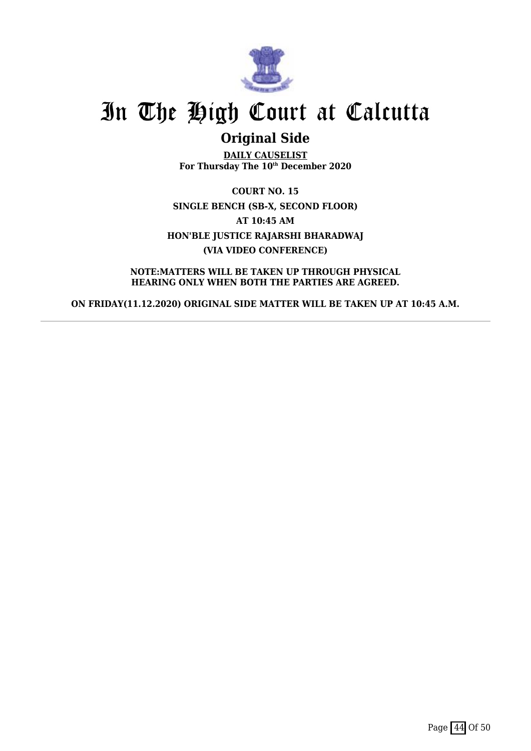

## **Original Side**

**DAILY CAUSELIST For Thursday The 10th December 2020**

**COURT NO. 15 SINGLE BENCH (SB-X, SECOND FLOOR) AT 10:45 AM HON'BLE JUSTICE RAJARSHI BHARADWAJ (VIA VIDEO CONFERENCE)**

**NOTE:MATTERS WILL BE TAKEN UP THROUGH PHYSICAL HEARING ONLY WHEN BOTH THE PARTIES ARE AGREED.**

**ON FRIDAY(11.12.2020) ORIGINAL SIDE MATTER WILL BE TAKEN UP AT 10:45 A.M.**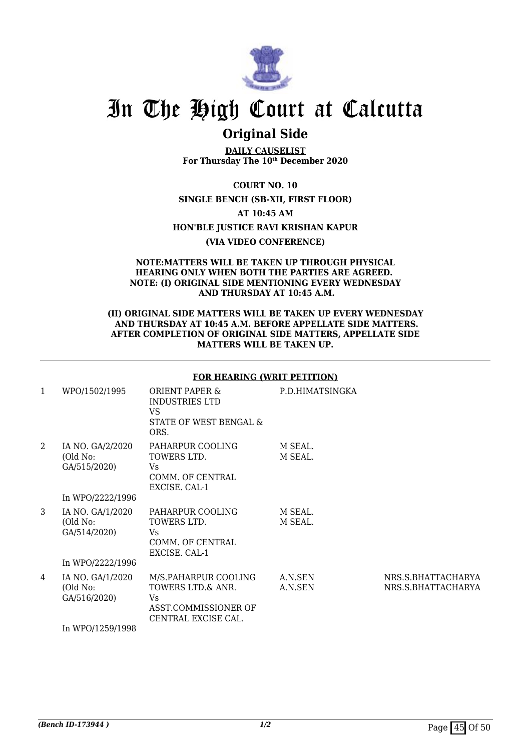

## **Original Side**

**DAILY CAUSELIST For Thursday The 10th December 2020**

**COURT NO. 10**

**SINGLE BENCH (SB-XII, FIRST FLOOR)**

**AT 10:45 AM**

**HON'BLE JUSTICE RAVI KRISHAN KAPUR**

**(VIA VIDEO CONFERENCE)**

### **NOTE:MATTERS WILL BE TAKEN UP THROUGH PHYSICAL HEARING ONLY WHEN BOTH THE PARTIES ARE AGREED. NOTE: (I) ORIGINAL SIDE MENTIONING EVERY WEDNESDAY AND THURSDAY AT 10:45 A.M.**

### **(II) ORIGINAL SIDE MATTERS WILL BE TAKEN UP EVERY WEDNESDAY AND THURSDAY AT 10:45 A.M. BEFORE APPELLATE SIDE MATTERS. AFTER COMPLETION OF ORIGINAL SIDE MATTERS, APPELLATE SIDE MATTERS WILL BE TAKEN UP.**

### **FOR HEARING (WRIT PETITION)**

| 1 | WPO/1502/1995                                                    | <b>ORIENT PAPER &amp;</b><br><b>INDUSTRIES LTD</b><br>VS<br>STATE OF WEST BENGAL &<br>ORS.      | P.D.HIMATSINGKA    |                                          |
|---|------------------------------------------------------------------|-------------------------------------------------------------------------------------------------|--------------------|------------------------------------------|
| 2 | IA NO. GA/2/2020<br>(Old No:<br>GA/515/2020)<br>In WPO/2222/1996 | PAHARPUR COOLING<br>TOWERS LTD.<br>Vs.<br>COMM. OF CENTRAL<br>EXCISE. CAL-1                     | M SEAL.<br>M SEAL. |                                          |
| 3 | IA NO. GA/1/2020<br>(Old No:<br>GA/514/2020)<br>In WPO/2222/1996 | PAHARPUR COOLING<br>TOWERS LTD.<br>Vs.<br>COMM. OF CENTRAL<br>EXCISE. CAL-1                     | M SEAL.<br>M SEAL. |                                          |
| 4 | IA NO. GA/1/2020<br>(Old No:<br>GA/516/2020)<br>In WPO/1259/1998 | M/S.PAHARPUR COOLING<br>TOWERS LTD.& ANR.<br>Vs.<br>ASST.COMMISSIONER OF<br>CENTRAL EXCISE CAL. | A.N.SEN<br>A.N.SEN | NRS.S.BHATTACHARYA<br>NRS.S.BHATTACHARYA |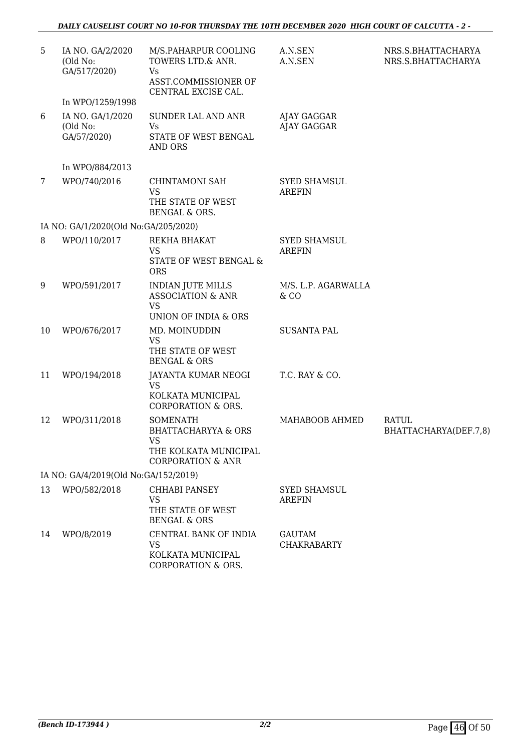| 5                                    | IA NO. GA/2/2020<br>(Old No:<br>GA/517/2020) | M/S.PAHARPUR COOLING<br>TOWERS LTD.& ANR.<br>Vs<br>ASST.COMMISSIONER OF<br>CENTRAL EXCISE CAL.                          | A.N.SEN<br>A.N.SEN                   | NRS.S.BHATTACHARYA<br>NRS.S.BHATTACHARYA |  |
|--------------------------------------|----------------------------------------------|-------------------------------------------------------------------------------------------------------------------------|--------------------------------------|------------------------------------------|--|
|                                      | In WPO/1259/1998                             |                                                                                                                         |                                      |                                          |  |
| 6                                    | IA NO. GA/1/2020<br>(Old No:<br>GA/57/2020)  | SUNDER LAL AND ANR<br>Vs<br>STATE OF WEST BENGAL<br><b>AND ORS</b>                                                      | AJAY GAGGAR<br>AJAY GAGGAR           |                                          |  |
|                                      | In WPO/884/2013                              |                                                                                                                         |                                      |                                          |  |
| 7                                    | WPO/740/2016                                 | CHINTAMONI SAH<br><b>VS</b><br>THE STATE OF WEST<br><b>BENGAL &amp; ORS.</b>                                            | <b>SYED SHAMSUL</b><br><b>AREFIN</b> |                                          |  |
|                                      | IA NO: GA/1/2020(Old No:GA/205/2020)         |                                                                                                                         |                                      |                                          |  |
| 8                                    | WPO/110/2017                                 | REKHA BHAKAT<br>VS<br>STATE OF WEST BENGAL &<br><b>ORS</b>                                                              | <b>SYED SHAMSUL</b><br><b>AREFIN</b> |                                          |  |
| 9                                    | WPO/591/2017                                 | <b>INDIAN JUTE MILLS</b><br><b>ASSOCIATION &amp; ANR</b><br><b>VS</b><br>UNION OF INDIA & ORS                           | M/S. L.P. AGARWALLA<br>& CO          |                                          |  |
| 10                                   | WPO/676/2017                                 | MD. MOINUDDIN<br>VS<br>THE STATE OF WEST<br><b>BENGAL &amp; ORS</b>                                                     | <b>SUSANTA PAL</b>                   |                                          |  |
| 11                                   | WPO/194/2018                                 | JAYANTA KUMAR NEOGI<br><b>VS</b><br>KOLKATA MUNICIPAL<br><b>CORPORATION &amp; ORS.</b>                                  | T.C. RAY & CO.                       |                                          |  |
| 12                                   | WPO/311/2018                                 | <b>SOMENATH</b><br><b>BHATTACHARYYA &amp; ORS</b><br><b>VS</b><br>THE KOLKATA MUNICIPAL<br><b>CORPORATION &amp; ANR</b> | MAHABOOB AHMED                       | <b>RATUL</b><br>BHATTACHARYA(DEF.7,8)    |  |
| IA NO: GA/4/2019(Old No:GA/152/2019) |                                              |                                                                                                                         |                                      |                                          |  |
| 13                                   | WPO/582/2018                                 | <b>CHHABI PANSEY</b><br><b>VS</b><br>THE STATE OF WEST<br><b>BENGAL &amp; ORS</b>                                       | <b>SYED SHAMSUL</b><br><b>AREFIN</b> |                                          |  |
| 14                                   | WPO/8/2019                                   | CENTRAL BANK OF INDIA<br>VS.<br>KOLKATA MUNICIPAL<br>CORPORATION & ORS.                                                 | <b>GAUTAM</b><br><b>CHAKRABARTY</b>  |                                          |  |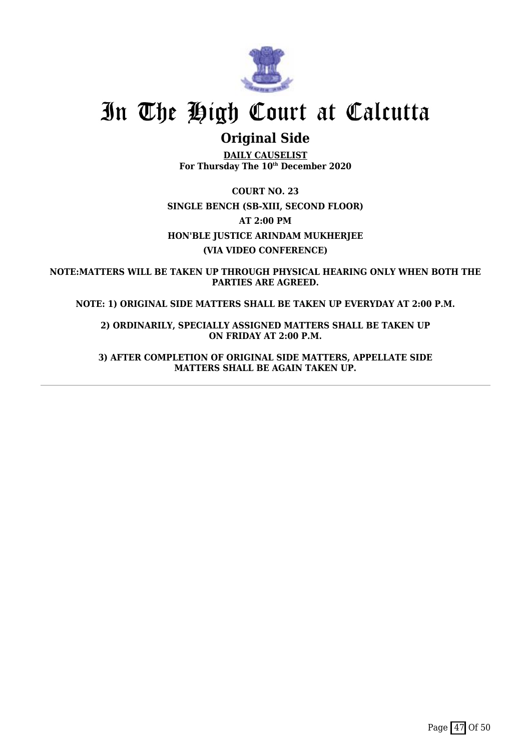

## **Original Side**

**DAILY CAUSELIST For Thursday The 10th December 2020**

**COURT NO. 23 SINGLE BENCH (SB-XIII, SECOND FLOOR) AT 2:00 PM HON'BLE JUSTICE ARINDAM MUKHERJEE (VIA VIDEO CONFERENCE)**

**NOTE:MATTERS WILL BE TAKEN UP THROUGH PHYSICAL HEARING ONLY WHEN BOTH THE PARTIES ARE AGREED.**

**NOTE: 1) ORIGINAL SIDE MATTERS SHALL BE TAKEN UP EVERYDAY AT 2:00 P.M.**

**2) ORDINARILY, SPECIALLY ASSIGNED MATTERS SHALL BE TAKEN UP ON FRIDAY AT 2:00 P.M.**

**3) AFTER COMPLETION OF ORIGINAL SIDE MATTERS, APPELLATE SIDE MATTERS SHALL BE AGAIN TAKEN UP.**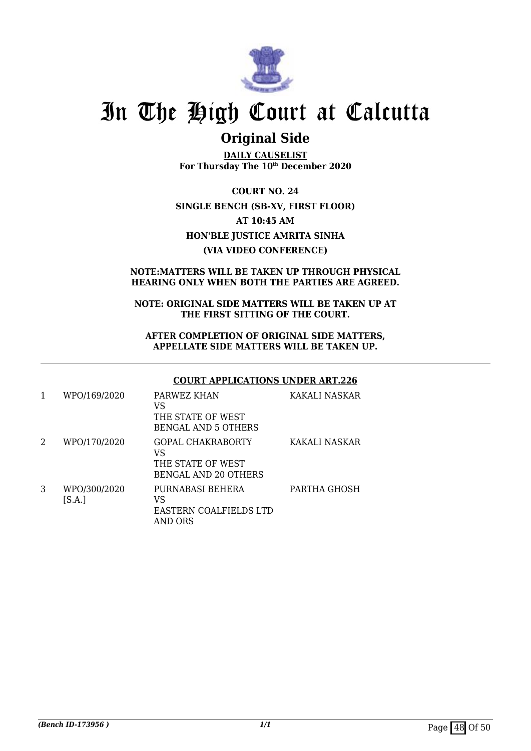

## **Original Side**

**DAILY CAUSELIST For Thursday The 10th December 2020**

**COURT NO. 24 SINGLE BENCH (SB-XV, FIRST FLOOR) AT 10:45 AM HON'BLE JUSTICE AMRITA SINHA (VIA VIDEO CONFERENCE)**

## **NOTE:MATTERS WILL BE TAKEN UP THROUGH PHYSICAL HEARING ONLY WHEN BOTH THE PARTIES ARE AGREED.**

### **NOTE: ORIGINAL SIDE MATTERS WILL BE TAKEN UP AT THE FIRST SITTING OF THE COURT.**

### **AFTER COMPLETION OF ORIGINAL SIDE MATTERS, APPELLATE SIDE MATTERS WILL BE TAKEN UP.**

## **COURT APPLICATIONS UNDER ART.226**

|   | WPO/169/2020           | PARWEZ KHAN<br>VS<br>THE STATE OF WEST<br><b>BENGAL AND 5 OTHERS</b>        | KAKALI NASKAR |
|---|------------------------|-----------------------------------------------------------------------------|---------------|
| 2 | WPO/170/2020           | GOPAL CHAKRABORTY<br>VS<br>THE STATE OF WEST<br><b>BENGAL AND 20 OTHERS</b> | KAKALI NASKAR |
| 3 | WPO/300/2020<br>[S.A.] | PURNABASI BEHERA<br>VS<br>EASTERN COALFIELDS LTD<br>AND ORS                 | PARTHA GHOSH  |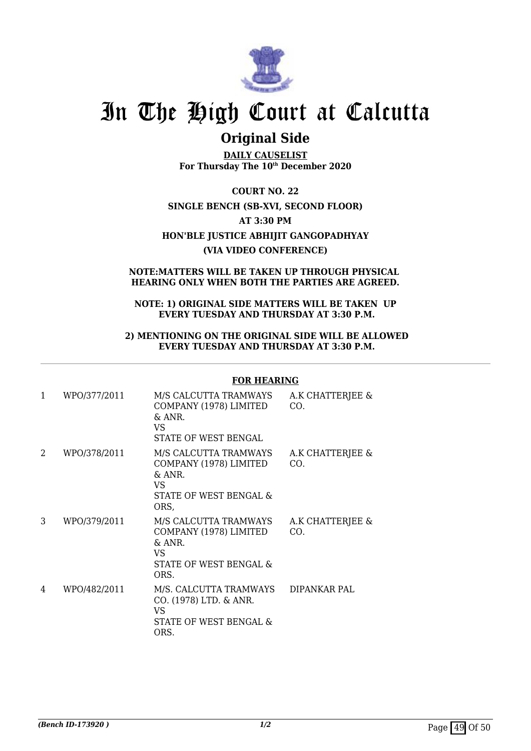

## **Original Side**

**DAILY CAUSELIST For Thursday The 10th December 2020**

**COURT NO. 22 SINGLE BENCH (SB-XVI, SECOND FLOOR) AT 3:30 PM HON'BLE JUSTICE ABHIJIT GANGOPADHYAY (VIA VIDEO CONFERENCE)**

### **NOTE:MATTERS WILL BE TAKEN UP THROUGH PHYSICAL HEARING ONLY WHEN BOTH THE PARTIES ARE AGREED.**

### **NOTE: 1) ORIGINAL SIDE MATTERS WILL BE TAKEN UP EVERY TUESDAY AND THURSDAY AT 3:30 P.M.**

### **2) MENTIONING ON THE ORIGINAL SIDE WILL BE ALLOWED EVERY TUESDAY AND THURSDAY AT 3:30 P.M.**

## **FOR HEARING**

| 1 | WPO/377/2011 | M/S CALCUTTA TRAMWAYS<br>COMPANY (1978) LIMITED<br>$\&$ ANR.<br>VS<br><b>STATE OF WEST BENGAL</b>    | A.K CHATTERJEE &<br>CO. |
|---|--------------|------------------------------------------------------------------------------------------------------|-------------------------|
| 2 | WPO/378/2011 | M/S CALCUTTA TRAMWAYS<br>COMPANY (1978) LIMITED<br>& ANR.<br>VS<br>STATE OF WEST BENGAL &<br>ORS,    | A.K CHATTERJEE &<br>CO. |
| 3 | WPO/379/2011 | M/S CALCUTTA TRAMWAYS<br>COMPANY (1978) LIMITED<br>$\&$ ANR.<br>VS<br>STATE OF WEST BENGAL &<br>ORS. | A.K CHATTERJEE &<br>CO. |
| 4 | WPO/482/2011 | M/S. CALCUTTA TRAMWAYS<br>CO. (1978) LTD. & ANR.<br><b>VS</b><br>STATE OF WEST BENGAL &<br>ORS.      | DIPANKAR PAL            |